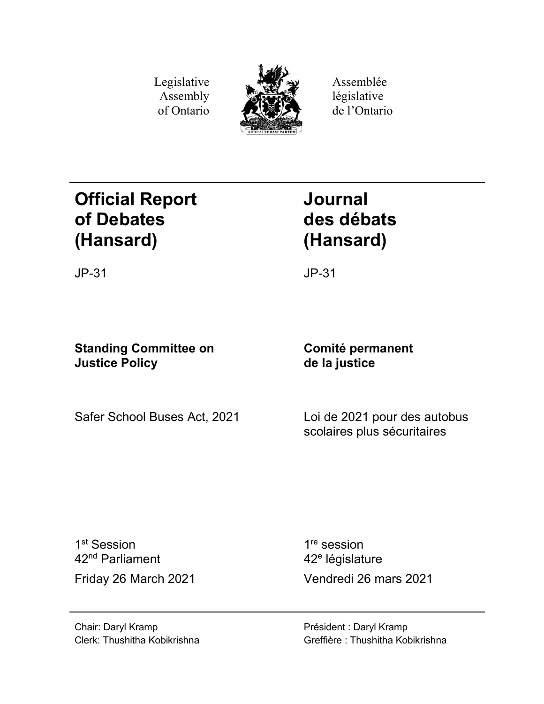Legislative Assembly of Ontario



Assemblée législative de l'Ontario

# **Official Report of Debates (Hansard)**

**Journal des débats (Hansard)**

JP-31 JP-31

# **Standing Committee on Justice Policy**

# **Comité permanent de la justice**

Safer School Buses Act, 2021 Loi de 2021 pour des autobus

scolaires plus sécuritaires

1<sup>st</sup> Session 42nd Parliament

1<sup>re</sup> session 42<sup>e</sup> législature Friday 26 March 2021 Vendredi 26 mars 2021

Chair: Daryl Kramp Clerk: Thushitha Kobikrishna Président : Daryl Kramp Greffière : Thushitha Kobikrishna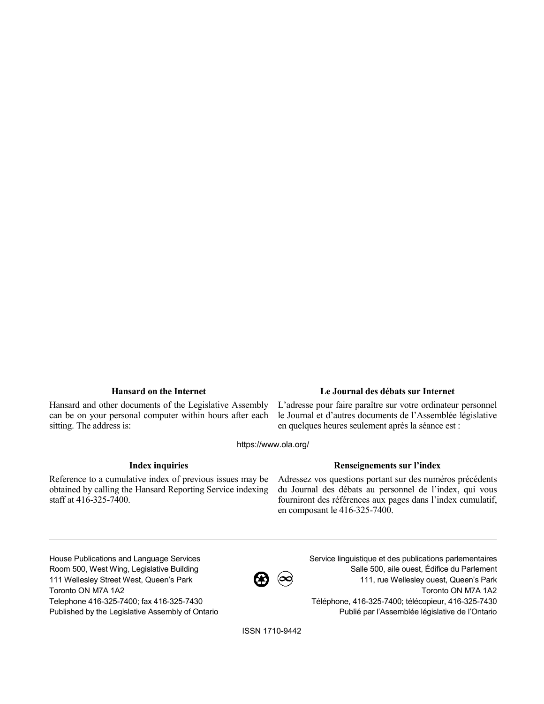Hansard and other documents of the Legislative Assembly can be on your personal computer within hours after each sitting. The address is:

# **Hansard on the Internet Le Journal des débats sur Internet**

L'adresse pour faire paraître sur votre ordinateur personnel le Journal et d'autres documents de l'Assemblée législative en quelques heures seulement après la séance est :

https://www.ola.org/

Reference to a cumulative index of previous issues may be obtained by calling the Hansard Reporting Service indexing staff at 416-325-7400.

# **Index inquiries Renseignements sur l'index**

Adressez vos questions portant sur des numéros précédents du Journal des débats au personnel de l'index, qui vous fourniront des références aux pages dans l'index cumulatif, en composant le 416-325-7400.

House Publications and Language Services Room 500, West Wing, Legislative Building 111 Wellesley Street West, Queen's Park Toronto ON M7A 1A2 Telephone 416-325-7400; fax 416-325-7430 Published by the Legislative Assembly of Ontario

 $\boldsymbol{\alpha} \hspace{-1.65mm}\boldsymbol{\beta} \hspace{-1.65mm}\boldsymbol{\beta}$ 

Service linguistique et des publications parlementaires Salle 500, aile ouest, Édifice du Parlement 111, rue Wellesley ouest, Queen's Park Toronto ON M7A 1A2 Téléphone, 416-325-7400; télécopieur, 416-325-7430 Publié par l'Assemblée législative de l'Ontario

ISSN 1710-9442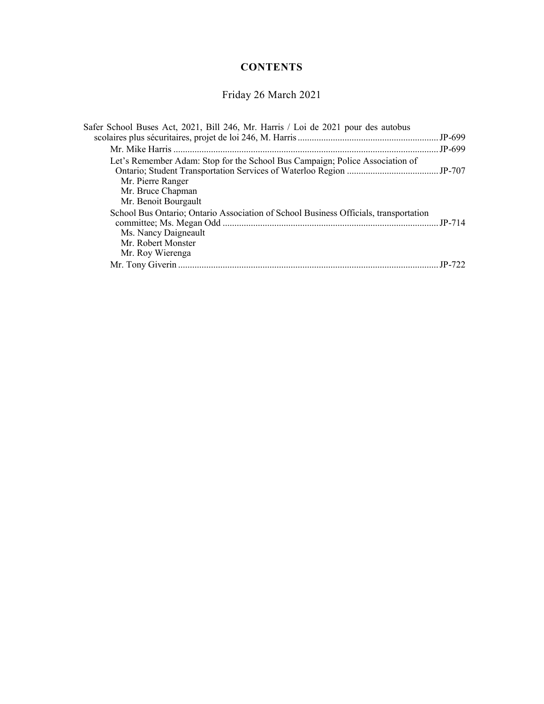# **CONTENTS**

# Friday 26 March 2021

| Safer School Buses Act, 2021, Bill 246, Mr. Harris / Loi de 2021 pour des autobus                                                                      |          |
|--------------------------------------------------------------------------------------------------------------------------------------------------------|----------|
|                                                                                                                                                        | $JP-699$ |
| Let's Remember Adam: Stop for the School Bus Campaign; Police Association of                                                                           |          |
| Mr. Pierre Ranger<br>Mr. Bruce Chapman<br>Mr. Benoit Bourgault                                                                                         |          |
| School Bus Ontario; Ontario Association of School Business Officials, transportation<br>Ms. Nancy Daigneault<br>Mr. Robert Monster<br>Mr. Roy Wierenga | $JP-714$ |
|                                                                                                                                                        |          |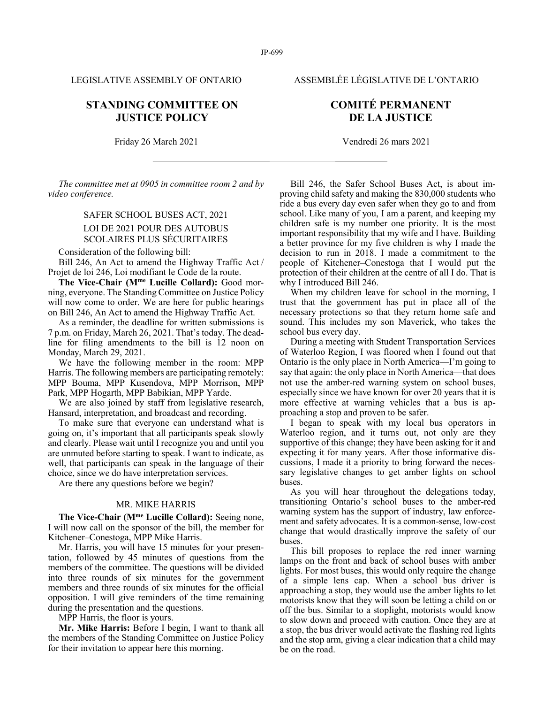LEGISLATIVE ASSEMBLY OF ONTARIO ASSEMBLÉE LÉGISLATIVE DE L'ONTARIO

# **STANDING COMMITTEE ON JUSTICE POLICY**

Friday 26 March 2021 Vendredi 26 mars 2021

*The committee met at 0905 in committee room 2 and by video conference.*

# SAFER SCHOOL BUSES ACT, 2021 LOI DE 2021 POUR DES AUTOBUS SCOLAIRES PLUS SÉCURITAIRES

Consideration of the following bill:

Bill 246, An Act to amend the Highway Traffic Act / Projet de loi 246, Loi modifiant le Code de la route.

**The Vice-Chair (Mme Lucille Collard):** Good morning, everyone. The Standing Committee on Justice Policy will now come to order. We are here for public hearings on Bill 246, An Act to amend the Highway Traffic Act.

As a reminder, the deadline for written submissions is 7 p.m. on Friday, March 26, 2021. That's today. The deadline for filing amendments to the bill is 12 noon on Monday, March 29, 2021.

We have the following member in the room: MPP Harris. The following members are participating remotely: MPP Bouma, MPP Kusendova, MPP Morrison, MPP Park, MPP Hogarth, MPP Babikian, MPP Yarde.

We are also joined by staff from legislative research, Hansard, interpretation, and broadcast and recording.

To make sure that everyone can understand what is going on, it's important that all participants speak slowly and clearly. Please wait until I recognize you and until you are unmuted before starting to speak. I want to indicate, as well, that participants can speak in the language of their choice, since we do have interpretation services.

Are there any questions before we begin?

# MR. MIKE HARRIS

**The Vice-Chair (Mme Lucille Collard):** Seeing none, I will now call on the sponsor of the bill, the member for Kitchener–Conestoga, MPP Mike Harris.

Mr. Harris, you will have 15 minutes for your presentation, followed by 45 minutes of questions from the members of the committee. The questions will be divided into three rounds of six minutes for the government members and three rounds of six minutes for the official opposition. I will give reminders of the time remaining during the presentation and the questions.

MPP Harris, the floor is yours.

**Mr. Mike Harris:** Before I begin, I want to thank all the members of the Standing Committee on Justice Policy for their invitation to appear here this morning.

# **COMITÉ PERMANENT DE LA JUSTICE**

Bill 246, the Safer School Buses Act, is about improving child safety and making the 830,000 students who ride a bus every day even safer when they go to and from school. Like many of you, I am a parent, and keeping my children safe is my number one priority. It is the most important responsibility that my wife and I have. Building a better province for my five children is why I made the decision to run in 2018. I made a commitment to the people of Kitchener–Conestoga that I would put the protection of their children at the centre of all I do. That is why I introduced Bill 246.

When my children leave for school in the morning, I trust that the government has put in place all of the necessary protections so that they return home safe and sound. This includes my son Maverick, who takes the school bus every day.

During a meeting with Student Transportation Services of Waterloo Region, I was floored when I found out that Ontario is the only place in North America—I'm going to say that again: the only place in North America—that does not use the amber-red warning system on school buses, especially since we have known for over 20 years that it is more effective at warning vehicles that a bus is approaching a stop and proven to be safer.

I began to speak with my local bus operators in Waterloo region, and it turns out, not only are they supportive of this change; they have been asking for it and expecting it for many years. After those informative discussions, I made it a priority to bring forward the necessary legislative changes to get amber lights on school buses.

As you will hear throughout the delegations today, transitioning Ontario's school buses to the amber-red warning system has the support of industry, law enforcement and safety advocates. It is a common-sense, low-cost change that would drastically improve the safety of our buses.

This bill proposes to replace the red inner warning lamps on the front and back of school buses with amber lights. For most buses, this would only require the change of a simple lens cap. When a school bus driver is approaching a stop, they would use the amber lights to let motorists know that they will soon be letting a child on or off the bus. Similar to a stoplight, motorists would know to slow down and proceed with caution. Once they are at a stop, the bus driver would activate the flashing red lights and the stop arm, giving a clear indication that a child may be on the road.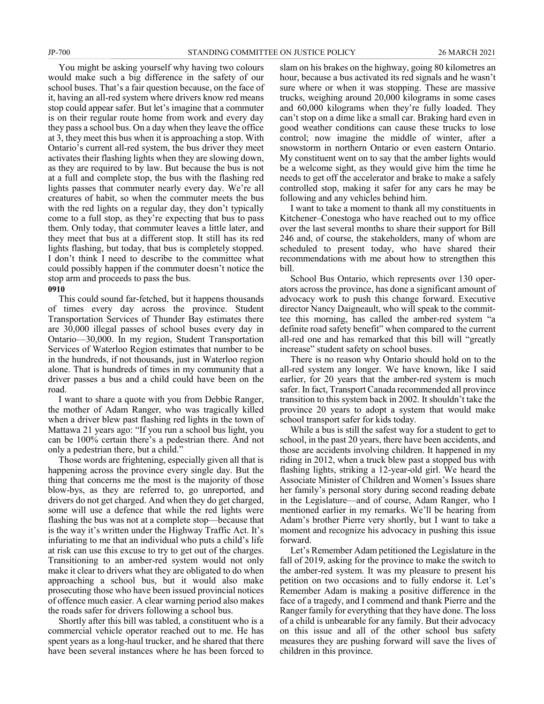You might be asking yourself why having two colours would make such a big difference in the safety of our school buses. That's a fair question because, on the face of it, having an all-red system where drivers know red means stop could appear safer. But let's imagine that a commuter is on their regular route home from work and every day they pass a school bus. On a day when they leave the office at 3, they meet this bus when it is approaching a stop. With Ontario's current all-red system, the bus driver they meet activates their flashing lights when they are slowing down, as they are required to by law. But because the bus is not at a full and complete stop, the bus with the flashing red lights passes that commuter nearly every day. We're all creatures of habit, so when the commuter meets the bus with the red lights on a regular day, they don't typically come to a full stop, as they're expecting that bus to pass them. Only today, that commuter leaves a little later, and they meet that bus at a different stop. It still has its red lights flashing, but today, that bus is completely stopped. I don't think I need to describe to the committee what could possibly happen if the commuter doesn't notice the stop arm and proceeds to pass the bus.

## **0910**

This could sound far-fetched, but it happens thousands of times every day across the province. Student Transportation Services of Thunder Bay estimates there are 30,000 illegal passes of school buses every day in Ontario—30,000. In my region, Student Transportation Services of Waterloo Region estimates that number to be in the hundreds, if not thousands, just in Waterloo region alone. That is hundreds of times in my community that a driver passes a bus and a child could have been on the road.

I want to share a quote with you from Debbie Ranger, the mother of Adam Ranger, who was tragically killed when a driver blew past flashing red lights in the town of Mattawa 21 years ago: "If you run a school bus light, you can be 100% certain there's a pedestrian there. And not only a pedestrian there, but a child."

Those words are frightening, especially given all that is happening across the province every single day. But the thing that concerns me the most is the majority of those blow-bys, as they are referred to, go unreported, and drivers do not get charged. And when they do get charged, some will use a defence that while the red lights were flashing the bus was not at a complete stop—because that is the way it's written under the Highway Traffic Act. It's infuriating to me that an individual who puts a child's life at risk can use this excuse to try to get out of the charges. Transitioning to an amber-red system would not only make it clear to drivers what they are obligated to do when approaching a school bus, but it would also make prosecuting those who have been issued provincial notices of offence much easier. A clear warning period also makes the roads safer for drivers following a school bus.

Shortly after this bill was tabled, a constituent who is a commercial vehicle operator reached out to me. He has spent years as a long-haul trucker, and he shared that there have been several instances where he has been forced to slam on his brakes on the highway, going 80 kilometres an hour, because a bus activated its red signals and he wasn't sure where or when it was stopping. These are massive trucks, weighing around 20,000 kilograms in some cases and 60,000 kilograms when they're fully loaded. They can't stop on a dime like a small car. Braking hard even in good weather conditions can cause these trucks to lose control; now imagine the middle of winter, after a snowstorm in northern Ontario or even eastern Ontario. My constituent went on to say that the amber lights would be a welcome sight, as they would give him the time he needs to get off the accelerator and brake to make a safely controlled stop, making it safer for any cars he may be following and any vehicles behind him.

I want to take a moment to thank all my constituents in Kitchener–Conestoga who have reached out to my office over the last several months to share their support for Bill 246 and, of course, the stakeholders, many of whom are scheduled to present today, who have shared their recommendations with me about how to strengthen this bill.

School Bus Ontario, which represents over 130 operators across the province, has done a significant amount of advocacy work to push this change forward. Executive director Nancy Daigneault, who will speak to the committee this morning, has called the amber-red system "a definite road safety benefit" when compared to the current all-red one and has remarked that this bill will "greatly increase" student safety on school buses.

There is no reason why Ontario should hold on to the all-red system any longer. We have known, like I said earlier, for 20 years that the amber-red system is much safer. In fact, Transport Canada recommended all province transition to this system back in 2002. It shouldn't take the province 20 years to adopt a system that would make school transport safer for kids today.

While a bus is still the safest way for a student to get to school, in the past 20 years, there have been accidents, and those are accidents involving children. It happened in my riding in 2012, when a truck blew past a stopped bus with flashing lights, striking a 12-year-old girl. We heard the Associate Minister of Children and Women's Issues share her family's personal story during second reading debate in the Legislature—and of course, Adam Ranger, who I mentioned earlier in my remarks. We'll be hearing from Adam's brother Pierre very shortly, but I want to take a moment and recognize his advocacy in pushing this issue forward.

Let's Remember Adam petitioned the Legislature in the fall of 2019, asking for the province to make the switch to the amber-red system. It was my pleasure to present his petition on two occasions and to fully endorse it. Let's Remember Adam is making a positive difference in the face of a tragedy, and I commend and thank Pierre and the Ranger family for everything that they have done. The loss of a child is unbearable for any family. But their advocacy on this issue and all of the other school bus safety measures they are pushing forward will save the lives of children in this province.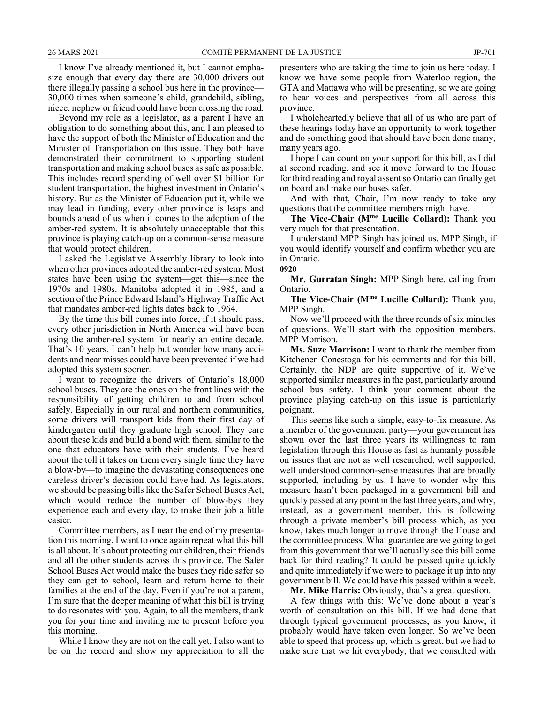I know I've already mentioned it, but I cannot emphasize enough that every day there are 30,000 drivers out there illegally passing a school bus here in the province— 30,000 times when someone's child, grandchild, sibling, niece, nephew or friend could have been crossing the road.

Beyond my role as a legislator, as a parent I have an obligation to do something about this, and I am pleased to have the support of both the Minister of Education and the Minister of Transportation on this issue. They both have demonstrated their commitment to supporting student transportation and making school buses as safe as possible. This includes record spending of well over \$1 billion for student transportation, the highest investment in Ontario's history. But as the Minister of Education put it, while we may lead in funding, every other province is leaps and bounds ahead of us when it comes to the adoption of the amber-red system. It is absolutely unacceptable that this province is playing catch-up on a common-sense measure that would protect children.

I asked the Legislative Assembly library to look into when other provinces adopted the amber-red system. Most states have been using the system—get this—since the 1970s and 1980s. Manitoba adopted it in 1985, and a section of the Prince Edward Island's Highway Traffic Act that mandates amber-red lights dates back to 1964.

By the time this bill comes into force, if it should pass, every other jurisdiction in North America will have been using the amber-red system for nearly an entire decade. That's 10 years. I can't help but wonder how many accidents and near misses could have been prevented if we had adopted this system sooner.

I want to recognize the drivers of Ontario's 18,000 school buses. They are the ones on the front lines with the responsibility of getting children to and from school safely. Especially in our rural and northern communities, some drivers will transport kids from their first day of kindergarten until they graduate high school. They care about these kids and build a bond with them, similar to the one that educators have with their students. I've heard about the toll it takes on them every single time they have a blow-by—to imagine the devastating consequences one careless driver's decision could have had. As legislators, we should be passing bills like the Safer School Buses Act, which would reduce the number of blow-bys they experience each and every day, to make their job a little easier.

Committee members, as I near the end of my presentation this morning, I want to once again repeat what this bill is all about. It's about protecting our children, their friends and all the other students across this province. The Safer School Buses Act would make the buses they ride safer so they can get to school, learn and return home to their families at the end of the day. Even if you're not a parent, I'm sure that the deeper meaning of what this bill is trying to do resonates with you. Again, to all the members, thank you for your time and inviting me to present before you this morning.

While I know they are not on the call yet, I also want to be on the record and show my appreciation to all the presenters who are taking the time to join us here today. I know we have some people from Waterloo region, the GTA and Mattawa who will be presenting, so we are going to hear voices and perspectives from all across this province.

I wholeheartedly believe that all of us who are part of these hearings today have an opportunity to work together and do something good that should have been done many, many years ago.

I hope I can count on your support for this bill, as I did at second reading, and see it move forward to the House for third reading and royal assent so Ontario can finally get on board and make our buses safer.

And with that, Chair, I'm now ready to take any questions that the committee members might have.

**The Vice-Chair (Mme Lucille Collard):** Thank you very much for that presentation.

I understand MPP Singh has joined us. MPP Singh, if you would identify yourself and confirm whether you are in Ontario.

### **0920**

**Mr. Gurratan Singh:** MPP Singh here, calling from Ontario.

**The Vice-Chair (Mme Lucille Collard):** Thank you, MPP Singh.

Now we'll proceed with the three rounds of six minutes of questions. We'll start with the opposition members. MPP Morrison.

**Ms. Suze Morrison:** I want to thank the member from Kitchener–Conestoga for his comments and for this bill. Certainly, the NDP are quite supportive of it. We've supported similar measures in the past, particularly around school bus safety. I think your comment about the province playing catch-up on this issue is particularly poignant.

This seems like such a simple, easy-to-fix measure. As a member of the government party—your government has shown over the last three years its willingness to ram legislation through this House as fast as humanly possible on issues that are not as well researched, well supported, well understood common-sense measures that are broadly supported, including by us. I have to wonder why this measure hasn't been packaged in a government bill and quickly passed at any point in the last three years, and why, instead, as a government member, this is following through a private member's bill process which, as you know, takes much longer to move through the House and the committee process. What guarantee are we going to get from this government that we'll actually see this bill come back for third reading? It could be passed quite quickly and quite immediately if we were to package it up into any government bill. We could have this passed within a week.

**Mr. Mike Harris:** Obviously, that's a great question.

A few things with this: We've done about a year's worth of consultation on this bill. If we had done that through typical government processes, as you know, it probably would have taken even longer. So we've been able to speed that process up, which is great, but we had to make sure that we hit everybody, that we consulted with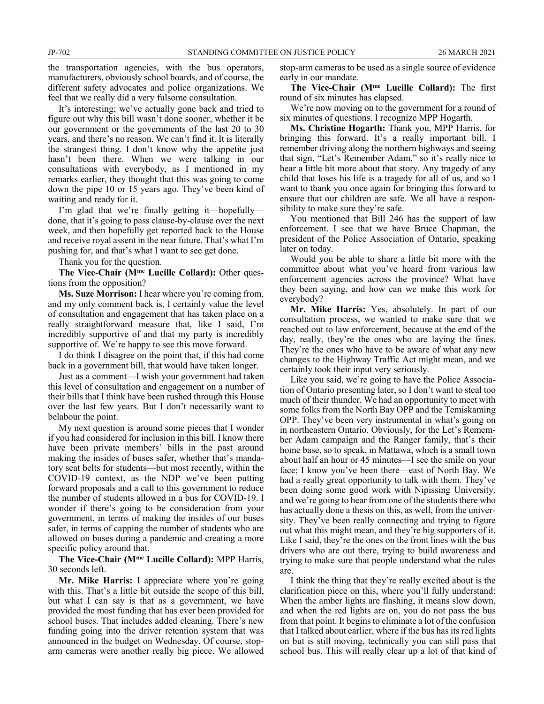the transportation agencies, with the bus operators, manufacturers, obviously school boards, and of course, the different safety advocates and police organizations. We feel that we really did a very fulsome consultation.

It's interesting; we've actually gone back and tried to figure out why this bill wasn't done sooner, whether it be our government or the governments of the last 20 to 30 years, and there's no reason. We can't find it. It is literally the strangest thing. I don't know why the appetite just hasn't been there. When we were talking in our consultations with everybody, as I mentioned in my remarks earlier, they thought that this was going to come down the pipe 10 or 15 years ago. They've been kind of waiting and ready for it.

I'm glad that we're finally getting it—hopefully done, that it's going to pass clause-by-clause over the next week, and then hopefully get reported back to the House and receive royal assent in the near future. That's what I'm pushing for, and that's what I want to see get done.

Thank you for the question.

**The Vice-Chair (Mme Lucille Collard):** Other questions from the opposition?

**Ms. Suze Morrison:** I hear where you're coming from, and my only comment back is, I certainly value the level of consultation and engagement that has taken place on a really straightforward measure that, like I said, I'm incredibly supportive of and that my party is incredibly supportive of. We're happy to see this move forward.

I do think I disagree on the point that, if this had come back in a government bill, that would have taken longer.

Just as a comment—I wish your government had taken this level of consultation and engagement on a number of their bills that I think have been rushed through this House over the last few years. But I don't necessarily want to belabour the point.

My next question is around some pieces that I wonder if you had considered for inclusion in this bill. I know there have been private members' bills in the past around making the insides of buses safer, whether that's mandatory seat belts for students—but most recently, within the COVID-19 context, as the NDP we've been putting forward proposals and a call to this government to reduce the number of students allowed in a bus for COVID-19. I wonder if there's going to be consideration from your government, in terms of making the insides of our buses safer, in terms of capping the number of students who are allowed on buses during a pandemic and creating a more specific policy around that.

**The Vice-Chair (Mme Lucille Collard):** MPP Harris, 30 seconds left.

**Mr. Mike Harris:** I appreciate where you're going with this. That's a little bit outside the scope of this bill, but what I can say is that as a government, we have provided the most funding that has ever been provided for school buses. That includes added cleaning. There's new funding going into the driver retention system that was announced in the budget on Wednesday. Of course, stoparm cameras were another really big piece. We allowed stop-arm cameras to be used as a single source of evidence early in our mandate.

**The Vice-Chair (Mme Lucille Collard):** The first round of six minutes has elapsed.

We're now moving on to the government for a round of six minutes of questions. I recognize MPP Hogarth.

**Ms. Christine Hogarth:** Thank you, MPP Harris, for bringing this forward. It's a really important bill. I remember driving along the northern highways and seeing that sign, "Let's Remember Adam," so it's really nice to hear a little bit more about that story. Any tragedy of any child that loses his life is a tragedy for all of us, and so I want to thank you once again for bringing this forward to ensure that our children are safe. We all have a responsibility to make sure they're safe.

You mentioned that Bill 246 has the support of law enforcement. I see that we have Bruce Chapman, the president of the Police Association of Ontario, speaking later on today.

Would you be able to share a little bit more with the committee about what you've heard from various law enforcement agencies across the province? What have they been saying, and how can we make this work for everybody?

**Mr. Mike Harris:** Yes, absolutely. In part of our consultation process, we wanted to make sure that we reached out to law enforcement, because at the end of the day, really, they're the ones who are laying the fines. They're the ones who have to be aware of what any new changes to the Highway Traffic Act might mean, and we certainly took their input very seriously.

Like you said, we're going to have the Police Association of Ontario presenting later, so I don't want to steal too much of their thunder. We had an opportunity to meet with some folks from the North Bay OPP and the Temiskaming OPP. They've been very instrumental in what's going on in northeastern Ontario. Obviously, for the Let's Remember Adam campaign and the Ranger family, that's their home base, so to speak, in Mattawa, which is a small town about half an hour or 45 minutes—I see the smile on your face; I know you've been there—east of North Bay. We had a really great opportunity to talk with them. They've been doing some good work with Nipissing University, and we're going to hear from one of the students there who has actually done a thesis on this, as well, from the university. They've been really connecting and trying to figure out what this might mean, and they're big supporters of it. Like I said, they're the ones on the front lines with the bus drivers who are out there, trying to build awareness and trying to make sure that people understand what the rules are.

I think the thing that they're really excited about is the clarification piece on this, where you'll fully understand: When the amber lights are flashing, it means slow down, and when the red lights are on, you do not pass the bus from that point. It begins to eliminate a lot of the confusion that I talked about earlier, where if the bus has its red lights on but is still moving, technically you can still pass that school bus. This will really clear up a lot of that kind of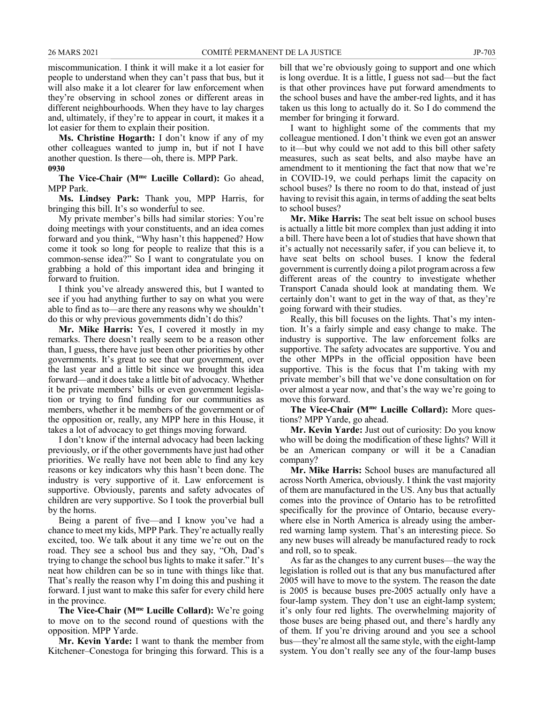miscommunication. I think it will make it a lot easier for people to understand when they can't pass that bus, but it will also make it a lot clearer for law enforcement when they're observing in school zones or different areas in different neighbourhoods. When they have to lay charges and, ultimately, if they're to appear in court, it makes it a lot easier for them to explain their position.

**Ms. Christine Hogarth:** I don't know if any of my other colleagues wanted to jump in, but if not I have another question. Is there—oh, there is. MPP Park. **0930**

**The Vice-Chair (Mme Lucille Collard):** Go ahead, MPP Park.

**Ms. Lindsey Park:** Thank you, MPP Harris, for bringing this bill. It's so wonderful to see.

My private member's bills had similar stories: You're doing meetings with your constituents, and an idea comes forward and you think, "Why hasn't this happened? How come it took so long for people to realize that this is a common-sense idea?" So I want to congratulate you on grabbing a hold of this important idea and bringing it forward to fruition.

I think you've already answered this, but I wanted to see if you had anything further to say on what you were able to find as to—are there any reasons why we shouldn't do this or why previous governments didn't do this?

**Mr. Mike Harris:** Yes, I covered it mostly in my remarks. There doesn't really seem to be a reason other than, I guess, there have just been other priorities by other governments. It's great to see that our government, over the last year and a little bit since we brought this idea forward—and it does take a little bit of advocacy. Whether it be private members' bills or even government legislation or trying to find funding for our communities as members, whether it be members of the government or of the opposition or, really, any MPP here in this House, it takes a lot of advocacy to get things moving forward.

I don't know if the internal advocacy had been lacking previously, or if the other governments have just had other priorities. We really have not been able to find any key reasons or key indicators why this hasn't been done. The industry is very supportive of it. Law enforcement is supportive. Obviously, parents and safety advocates of children are very supportive. So I took the proverbial bull by the horns.

Being a parent of five—and I know you've had a chance to meet my kids, MPP Park. They're actually really excited, too. We talk about it any time we're out on the road. They see a school bus and they say, "Oh, Dad's trying to change the school bus lights to make it safer." It's neat how children can be so in tune with things like that. That's really the reason why I'm doing this and pushing it forward. I just want to make this safer for every child here in the province.

**The Vice-Chair (Mme Lucille Collard):** We're going to move on to the second round of questions with the opposition. MPP Yarde.

**Mr. Kevin Yarde:** I want to thank the member from Kitchener–Conestoga for bringing this forward. This is a bill that we're obviously going to support and one which is long overdue. It is a little, I guess not sad—but the fact is that other provinces have put forward amendments to the school buses and have the amber-red lights, and it has taken us this long to actually do it. So I do commend the member for bringing it forward.

I want to highlight some of the comments that my colleague mentioned. I don't think we even got an answer to it—but why could we not add to this bill other safety measures, such as seat belts, and also maybe have an amendment to it mentioning the fact that now that we're in COVID-19, we could perhaps limit the capacity on school buses? Is there no room to do that, instead of just having to revisit this again, in terms of adding the seat belts to school buses?

**Mr. Mike Harris:** The seat belt issue on school buses is actually a little bit more complex than just adding it into a bill. There have been a lot of studies that have shown that it's actually not necessarily safer, if you can believe it, to have seat belts on school buses. I know the federal government is currently doing a pilot program across a few different areas of the country to investigate whether Transport Canada should look at mandating them. We certainly don't want to get in the way of that, as they're going forward with their studies.

Really, this bill focuses on the lights. That's my intention. It's a fairly simple and easy change to make. The industry is supportive. The law enforcement folks are supportive. The safety advocates are supportive. You and the other MPPs in the official opposition have been supportive. This is the focus that I'm taking with my private member's bill that we've done consultation on for over almost a year now, and that's the way we're going to move this forward.

**The Vice-Chair (Mme Lucille Collard):** More questions? MPP Yarde, go ahead.

**Mr. Kevin Yarde:** Just out of curiosity: Do you know who will be doing the modification of these lights? Will it be an American company or will it be a Canadian company?

**Mr. Mike Harris:** School buses are manufactured all across North America, obviously. I think the vast majority of them are manufactured in the US. Any bus that actually comes into the province of Ontario has to be retrofitted specifically for the province of Ontario, because everywhere else in North America is already using the amberred warning lamp system. That's an interesting piece. So any new buses will already be manufactured ready to rock and roll, so to speak.

As far as the changes to any current buses—the way the legislation is rolled out is that any bus manufactured after 2005 will have to move to the system. The reason the date is 2005 is because buses pre-2005 actually only have a four-lamp system. They don't use an eight-lamp system; it's only four red lights. The overwhelming majority of those buses are being phased out, and there's hardly any of them. If you're driving around and you see a school bus—they're almost all the same style, with the eight-lamp system. You don't really see any of the four-lamp buses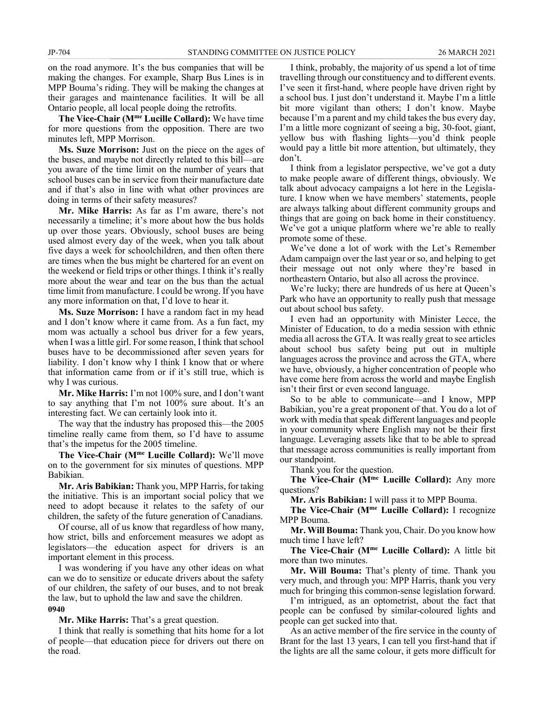on the road anymore. It's the bus companies that will be making the changes. For example, Sharp Bus Lines is in MPP Bouma's riding. They will be making the changes at their garages and maintenance facilities. It will be all Ontario people, all local people doing the retrofits.

**The Vice-Chair (Mme Lucille Collard):** We have time for more questions from the opposition. There are two minutes left, MPP Morrison.

**Ms. Suze Morrison:** Just on the piece on the ages of the buses, and maybe not directly related to this bill—are you aware of the time limit on the number of years that school buses can be in service from their manufacture date and if that's also in line with what other provinces are doing in terms of their safety measures?

**Mr. Mike Harris:** As far as I'm aware, there's not necessarily a timeline; it's more about how the bus holds up over those years. Obviously, school buses are being used almost every day of the week, when you talk about five days a week for schoolchildren, and then often there are times when the bus might be chartered for an event on the weekend or field trips or other things. I think it's really more about the wear and tear on the bus than the actual time limit from manufacture. I could be wrong. If you have any more information on that, I'd love to hear it.

**Ms. Suze Morrison:** I have a random fact in my head and I don't know where it came from. As a fun fact, my mom was actually a school bus driver for a few years, when I was a little girl. For some reason, I think that school buses have to be decommissioned after seven years for liability. I don't know why I think I know that or where that information came from or if it's still true, which is why I was curious.

**Mr. Mike Harris:** I'm not 100% sure, and I don't want to say anything that I'm not 100% sure about. It's an interesting fact. We can certainly look into it.

The way that the industry has proposed this—the 2005 timeline really came from them, so I'd have to assume that's the impetus for the 2005 timeline.

**The Vice-Chair (Mme Lucille Collard):** We'll move on to the government for six minutes of questions. MPP Babikian.

**Mr. Aris Babikian:** Thank you, MPP Harris, for taking the initiative. This is an important social policy that we need to adopt because it relates to the safety of our children, the safety of the future generation of Canadians.

Of course, all of us know that regardless of how many, how strict, bills and enforcement measures we adopt as legislators—the education aspect for drivers is an important element in this process.

I was wondering if you have any other ideas on what can we do to sensitize or educate drivers about the safety of our children, the safety of our buses, and to not break the law, but to uphold the law and save the children. **0940**

**Mr. Mike Harris:** That's a great question.

I think that really is something that hits home for a lot of people—that education piece for drivers out there on the road.

I think, probably, the majority of us spend a lot of time travelling through our constituency and to different events. I've seen it first-hand, where people have driven right by a school bus. I just don't understand it. Maybe I'm a little bit more vigilant than others; I don't know. Maybe because I'm a parent and my child takes the bus every day, I'm a little more cognizant of seeing a big, 30-foot, giant, yellow bus with flashing lights—you'd think people would pay a little bit more attention, but ultimately, they don't.

I think from a legislator perspective, we've got a duty to make people aware of different things, obviously. We talk about advocacy campaigns a lot here in the Legislature. I know when we have members' statements, people are always talking about different community groups and things that are going on back home in their constituency. We've got a unique platform where we're able to really promote some of these.

We've done a lot of work with the Let's Remember Adam campaign over the last year or so, and helping to get their message out not only where they're based in northeastern Ontario, but also all across the province.

We're lucky; there are hundreds of us here at Queen's Park who have an opportunity to really push that message out about school bus safety.

I even had an opportunity with Minister Lecce, the Minister of Education, to do a media session with ethnic media all across the GTA. It was really great to see articles about school bus safety being put out in multiple languages across the province and across the GTA, where we have, obviously, a higher concentration of people who have come here from across the world and maybe English isn't their first or even second language.

So to be able to communicate—and I know, MPP Babikian, you're a great proponent of that. You do a lot of work with media that speak different languages and people in your community where English may not be their first language. Leveraging assets like that to be able to spread that message across communities is really important from our standpoint.

Thank you for the question.

**The Vice-Chair (Mme Lucille Collard):** Any more questions?

**Mr. Aris Babikian:** I will pass it to MPP Bouma.

**The Vice-Chair (Mme Lucille Collard):** I recognize MPP Bouma.

**Mr. Will Bouma:** Thank you, Chair. Do you know how much time I have left?

**The Vice-Chair (Mme Lucille Collard):** A little bit more than two minutes.

**Mr. Will Bouma:** That's plenty of time. Thank you very much, and through you: MPP Harris, thank you very much for bringing this common-sense legislation forward.

I'm intrigued, as an optometrist, about the fact that people can be confused by similar-coloured lights and people can get sucked into that.

As an active member of the fire service in the county of Brant for the last 13 years, I can tell you first-hand that if the lights are all the same colour, it gets more difficult for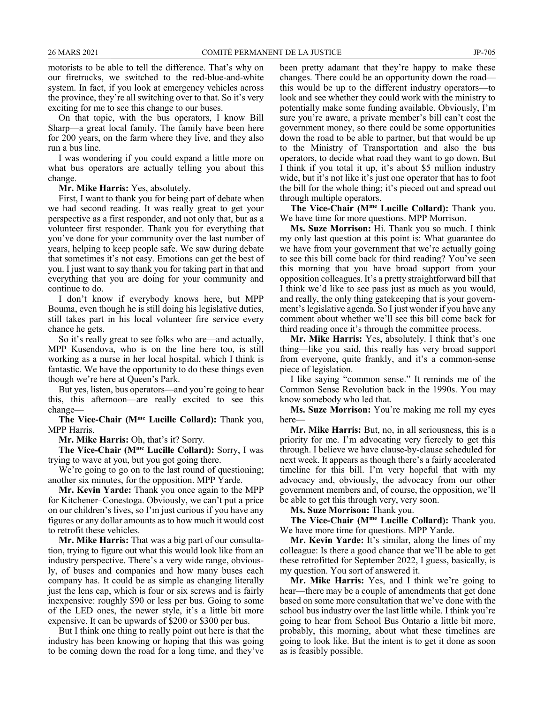motorists to be able to tell the difference. That's why on our firetrucks, we switched to the red-blue-and-white system. In fact, if you look at emergency vehicles across the province, they're all switching over to that. So it's very exciting for me to see this change to our buses.

On that topic, with the bus operators, I know Bill Sharp—a great local family. The family have been here for 200 years, on the farm where they live, and they also run a bus line.

I was wondering if you could expand a little more on what bus operators are actually telling you about this change.

**Mr. Mike Harris:** Yes, absolutely.

First, I want to thank you for being part of debate when we had second reading. It was really great to get your perspective as a first responder, and not only that, but as a volunteer first responder. Thank you for everything that you've done for your community over the last number of years, helping to keep people safe. We saw during debate that sometimes it's not easy. Emotions can get the best of you. I just want to say thank you for taking part in that and everything that you are doing for your community and continue to do.

I don't know if everybody knows here, but MPP Bouma, even though he is still doing his legislative duties, still takes part in his local volunteer fire service every chance he gets.

So it's really great to see folks who are—and actually, MPP Kusendova, who is on the line here too, is still working as a nurse in her local hospital, which I think is fantastic. We have the opportunity to do these things even though we're here at Queen's Park.

But yes, listen, bus operators—and you're going to hear this, this afternoon—are really excited to see this change—

**The Vice-Chair (Mme Lucille Collard):** Thank you, MPP Harris.

**Mr. Mike Harris:** Oh, that's it? Sorry.

**The Vice-Chair (Mme Lucille Collard):** Sorry, I was trying to wave at you, but you got going there.

We're going to go on to the last round of questioning; another six minutes, for the opposition. MPP Yarde.

**Mr. Kevin Yarde:** Thank you once again to the MPP for Kitchener–Conestoga. Obviously, we can't put a price on our children's lives, so I'm just curious if you have any figures or any dollar amounts as to how much it would cost to retrofit these vehicles.

**Mr. Mike Harris:** That was a big part of our consultation, trying to figure out what this would look like from an industry perspective. There's a very wide range, obviously, of buses and companies and how many buses each company has. It could be as simple as changing literally just the lens cap, which is four or six screws and is fairly inexpensive: roughly \$90 or less per bus. Going to some of the LED ones, the newer style, it's a little bit more expensive. It can be upwards of \$200 or \$300 per bus.

But I think one thing to really point out here is that the industry has been knowing or hoping that this was going to be coming down the road for a long time, and they've been pretty adamant that they're happy to make these changes. There could be an opportunity down the road this would be up to the different industry operators—to look and see whether they could work with the ministry to potentially make some funding available. Obviously, I'm sure you're aware, a private member's bill can't cost the government money, so there could be some opportunities down the road to be able to partner, but that would be up to the Ministry of Transportation and also the bus operators, to decide what road they want to go down. But I think if you total it up, it's about \$5 million industry wide, but it's not like it's just one operator that has to foot the bill for the whole thing; it's pieced out and spread out through multiple operators.

**The Vice-Chair (Mme Lucille Collard):** Thank you. We have time for more questions. MPP Morrison.

**Ms. Suze Morrison:** Hi. Thank you so much. I think my only last question at this point is: What guarantee do we have from your government that we're actually going to see this bill come back for third reading? You've seen this morning that you have broad support from your opposition colleagues. It's a pretty straightforward bill that I think we'd like to see pass just as much as you would, and really, the only thing gatekeeping that is your government's legislative agenda. So I just wonder if you have any comment about whether we'll see this bill come back for third reading once it's through the committee process.

**Mr. Mike Harris:** Yes, absolutely. I think that's one thing—like you said, this really has very broad support from everyone, quite frankly, and it's a common-sense piece of legislation.

I like saying "common sense." It reminds me of the Common Sense Revolution back in the 1990s. You may know somebody who led that.

**Ms. Suze Morrison:** You're making me roll my eyes here—

**Mr. Mike Harris:** But, no, in all seriousness, this is a priority for me. I'm advocating very fiercely to get this through. I believe we have clause-by-clause scheduled for next week. It appears as though there's a fairly accelerated timeline for this bill. I'm very hopeful that with my advocacy and, obviously, the advocacy from our other government members and, of course, the opposition, we'll be able to get this through very, very soon.

**Ms. Suze Morrison:** Thank you.

**The Vice-Chair (Mme Lucille Collard):** Thank you. We have more time for questions. MPP Yarde.

**Mr. Kevin Yarde:** It's similar, along the lines of my colleague: Is there a good chance that we'll be able to get these retrofitted for September 2022, I guess, basically, is my question. You sort of answered it.

**Mr. Mike Harris:** Yes, and I think we're going to hear—there may be a couple of amendments that get done based on some more consultation that we've done with the school bus industry over the last little while. I think you're going to hear from School Bus Ontario a little bit more, probably, this morning, about what these timelines are going to look like. But the intent is to get it done as soon as is feasibly possible.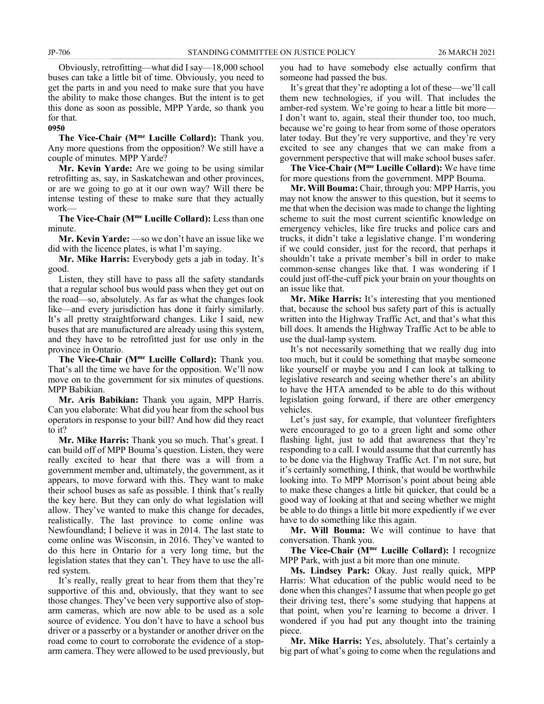Obviously, retrofitting—what did I say—18,000 school buses can take a little bit of time. Obviously, you need to get the parts in and you need to make sure that you have the ability to make those changes. But the intent is to get this done as soon as possible, MPP Yarde, so thank you for that.

### **0950**

**The Vice-Chair (Mme Lucille Collard):** Thank you. Any more questions from the opposition? We still have a couple of minutes. MPP Yarde?

**Mr. Kevin Yarde:** Are we going to be using similar retrofitting as, say, in Saskatchewan and other provinces, or are we going to go at it our own way? Will there be intense testing of these to make sure that they actually work—

**The Vice-Chair (Mme Lucille Collard):** Less than one minute.

**Mr. Kevin Yarde:** —so we don't have an issue like we did with the licence plates, is what I'm saying.

**Mr. Mike Harris:** Everybody gets a jab in today. It's good.

Listen, they still have to pass all the safety standards that a regular school bus would pass when they get out on the road—so, absolutely. As far as what the changes look like—and every jurisdiction has done it fairly similarly. It's all pretty straightforward changes. Like I said, new buses that are manufactured are already using this system, and they have to be retrofitted just for use only in the province in Ontario.

**The Vice-Chair (Mme Lucille Collard):** Thank you. That's all the time we have for the opposition. We'll now move on to the government for six minutes of questions. MPP Babikian.

**Mr. Aris Babikian:** Thank you again, MPP Harris. Can you elaborate: What did you hear from the school bus operators in response to your bill? And how did they react to it?

**Mr. Mike Harris:** Thank you so much. That's great. I can build off of MPP Bouma's question. Listen, they were really excited to hear that there was a will from a government member and, ultimately, the government, as it appears, to move forward with this. They want to make their school buses as safe as possible. I think that's really the key here. But they can only do what legislation will allow. They've wanted to make this change for decades, realistically. The last province to come online was Newfoundland; I believe it was in 2014. The last state to come online was Wisconsin, in 2016. They've wanted to do this here in Ontario for a very long time, but the legislation states that they can't. They have to use the allred system.

It's really, really great to hear from them that they're supportive of this and, obviously, that they want to see those changes. They've been very supportive also of stoparm cameras, which are now able to be used as a sole source of evidence. You don't have to have a school bus driver or a passerby or a bystander or another driver on the road come to court to corroborate the evidence of a stoparm camera. They were allowed to be used previously, but you had to have somebody else actually confirm that someone had passed the bus.

It's great that they're adopting a lot of these—we'll call them new technologies, if you will. That includes the amber-red system. We're going to hear a little bit more— I don't want to, again, steal their thunder too, too much, because we're going to hear from some of those operators later today. But they're very supportive, and they're very excited to see any changes that we can make from a government perspective that will make school buses safer.

**The Vice-Chair (Mme Lucille Collard):** We have time for more questions from the government. MPP Bouma.

**Mr. Will Bouma:** Chair, through you: MPP Harris, you may not know the answer to this question, but it seems to me that when the decision was made to change the lighting scheme to suit the most current scientific knowledge on emergency vehicles, like fire trucks and police cars and trucks, it didn't take a legislative change. I'm wondering if we could consider, just for the record, that perhaps it shouldn't take a private member's bill in order to make common-sense changes like that. I was wondering if I could just off-the-cuff pick your brain on your thoughts on an issue like that.

**Mr. Mike Harris:** It's interesting that you mentioned that, because the school bus safety part of this is actually written into the Highway Traffic Act, and that's what this bill does. It amends the Highway Traffic Act to be able to use the dual-lamp system.

It's not necessarily something that we really dug into too much, but it could be something that maybe someone like yourself or maybe you and I can look at talking to legislative research and seeing whether there's an ability to have the HTA amended to be able to do this without legislation going forward, if there are other emergency vehicles.

Let's just say, for example, that volunteer firefighters were encouraged to go to a green light and some other flashing light, just to add that awareness that they're responding to a call. I would assume that that currently has to be done via the Highway Traffic Act. I'm not sure, but it's certainly something, I think, that would be worthwhile looking into. To MPP Morrison's point about being able to make these changes a little bit quicker, that could be a good way of looking at that and seeing whether we might be able to do things a little bit more expediently if we ever have to do something like this again.

**Mr. Will Bouma:** We will continue to have that conversation. Thank you.

**The Vice-Chair (Mme Lucille Collard):** I recognize MPP Park, with just a bit more than one minute.

**Ms. Lindsey Park:** Okay. Just really quick, MPP Harris: What education of the public would need to be done when this changes? I assume that when people go get their driving test, there's some studying that happens at that point, when you're learning to become a driver. I wondered if you had put any thought into the training piece.

**Mr. Mike Harris:** Yes, absolutely. That's certainly a big part of what's going to come when the regulations and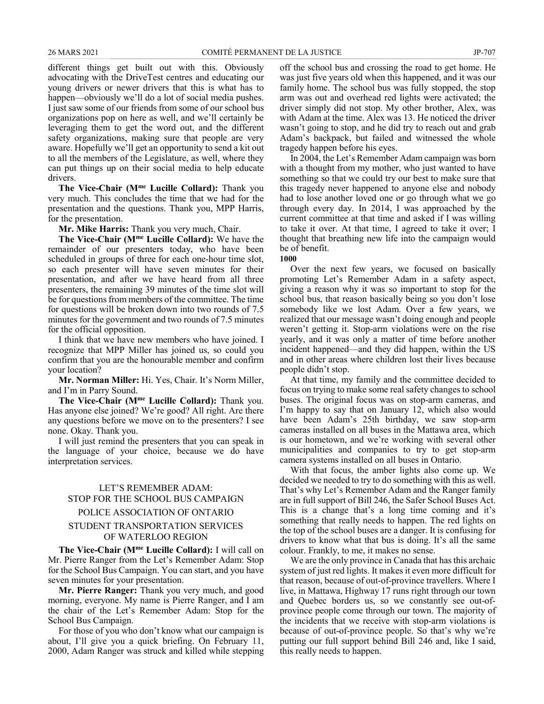different things get built out with this. Obviously advocating with the DriveTest centres and educating our young drivers or newer drivers that this is what has to happen—obviously we'll do a lot of social media pushes. I just saw some of our friends from some of our school bus organizations pop on here as well, and we'll certainly be leveraging them to get the word out, and the different safety organizations, making sure that people are very aware. Hopefully we'll get an opportunity to send a kit out to all the members of the Legislature, as well, where they can put things up on their social media to help educate drivers.

**The Vice-Chair (Mme Lucille Collard):** Thank you very much. This concludes the time that we had for the presentation and the questions. Thank you, MPP Harris, for the presentation.

**Mr. Mike Harris:** Thank you very much, Chair.

**The Vice-Chair (Mme Lucille Collard):** We have the remainder of our presenters today, who have been scheduled in groups of three for each one-hour time slot, so each presenter will have seven minutes for their presentation, and after we have heard from all three presenters, the remaining 39 minutes of the time slot will be for questions from members of the committee. The time for questions will be broken down into two rounds of 7.5 minutes for the government and two rounds of 7.5 minutes for the official opposition.

I think that we have new members who have joined. I recognize that MPP Miller has joined us, so could you confirm that you are the honourable member and confirm your location?

**Mr. Norman Miller:** Hi. Yes, Chair. It's Norm Miller, and I'm in Parry Sound.

**The Vice-Chair (Mme Lucille Collard):** Thank you. Has anyone else joined? We're good? All right. Are there any questions before we move on to the presenters? I see none. Okay. Thank you.

I will just remind the presenters that you can speak in the language of your choice, because we do have interpretation services.

# LET'S REMEMBER ADAM: STOP FOR THE SCHOOL BUS CAMPAIGN

# POLICE ASSOCIATION OF ONTARIO

# STUDENT TRANSPORTATION SERVICES OF WATERLOO REGION

**The Vice-Chair (Mme Lucille Collard):** I will call on Mr. Pierre Ranger from the Let's Remember Adam: Stop for the School Bus Campaign. You can start, and you have seven minutes for your presentation.

**Mr. Pierre Ranger:** Thank you very much, and good morning, everyone. My name is Pierre Ranger, and I am the chair of the Let's Remember Adam: Stop for the School Bus Campaign.

For those of you who don't know what our campaign is about, I'll give you a quick briefing. On February 11, 2000, Adam Ranger was struck and killed while stepping off the school bus and crossing the road to get home. He was just five years old when this happened, and it was our family home. The school bus was fully stopped, the stop arm was out and overhead red lights were activated; the driver simply did not stop. My other brother, Alex, was with Adam at the time. Alex was 13. He noticed the driver wasn't going to stop, and he did try to reach out and grab Adam's backpack, but failed and witnessed the whole tragedy happen before his eyes.

In 2004, the Let's Remember Adam campaign was born with a thought from my mother, who just wanted to have something so that we could try our best to make sure that this tragedy never happened to anyone else and nobody had to lose another loved one or go through what we go through every day. In 2014, I was approached by the current committee at that time and asked if I was willing to take it over. At that time, I agreed to take it over; I thought that breathing new life into the campaign would be of benefit.

**1000**

Over the next few years, we focused on basically promoting Let's Remember Adam in a safety aspect, giving a reason why it was so important to stop for the school bus, that reason basically being so you don't lose somebody like we lost Adam. Over a few years, we realized that our message wasn't doing enough and people weren't getting it. Stop-arm violations were on the rise yearly, and it was only a matter of time before another incident happened—and they did happen, within the US and in other areas where children lost their lives because people didn't stop.

At that time, my family and the committee decided to focus on trying to make some real safety changes to school buses. The original focus was on stop-arm cameras, and I'm happy to say that on January 12, which also would have been Adam's 25th birthday, we saw stop-arm cameras installed on all buses in the Mattawa area, which is our hometown, and we're working with several other municipalities and companies to try to get stop-arm camera systems installed on all buses in Ontario.

With that focus, the amber lights also come up. We decided we needed to try to do something with this as well. That's why Let's Remember Adam and the Ranger family are in full support of Bill 246, the Safer School Buses Act. This is a change that's a long time coming and it's something that really needs to happen. The red lights on the top of the school buses are a danger. It is confusing for drivers to know what that bus is doing. It's all the same colour. Frankly, to me, it makes no sense.

We are the only province in Canada that has this archaic system of just red lights. It makes it even more difficult for that reason, because of out-of-province travellers. Where I live, in Mattawa, Highway 17 runs right through our town and Quebec borders us, so we constantly see out-ofprovince people come through our town. The majority of the incidents that we receive with stop-arm violations is because of out-of-province people. So that's why we're putting our full support behind Bill 246 and, like I said, this really needs to happen.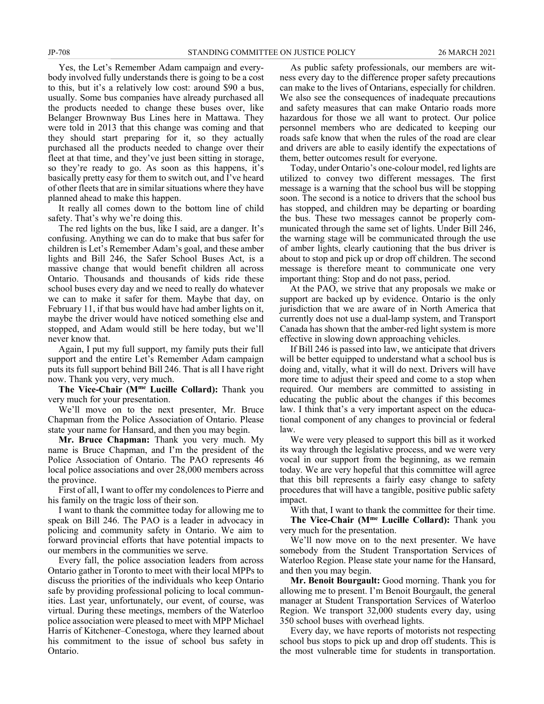Yes, the Let's Remember Adam campaign and everybody involved fully understands there is going to be a cost to this, but it's a relatively low cost: around \$90 a bus, usually. Some bus companies have already purchased all the products needed to change these buses over, like Belanger Brownway Bus Lines here in Mattawa. They were told in 2013 that this change was coming and that they should start preparing for it, so they actually purchased all the products needed to change over their fleet at that time, and they've just been sitting in storage, so they're ready to go. As soon as this happens, it's basically pretty easy for them to switch out, and I've heard of other fleets that are in similar situations where they have planned ahead to make this happen.

It really all comes down to the bottom line of child safety. That's why we're doing this.

The red lights on the bus, like I said, are a danger. It's confusing. Anything we can do to make that bus safer for children is Let's Remember Adam's goal, and these amber lights and Bill 246, the Safer School Buses Act, is a massive change that would benefit children all across Ontario. Thousands and thousands of kids ride these school buses every day and we need to really do whatever we can to make it safer for them. Maybe that day, on February 11, if that bus would have had amber lights on it, maybe the driver would have noticed something else and stopped, and Adam would still be here today, but we'll never know that.

Again, I put my full support, my family puts their full support and the entire Let's Remember Adam campaign puts its full support behind Bill 246. That is all I have right now. Thank you very, very much.

**The Vice-Chair (Mme Lucille Collard):** Thank you very much for your presentation.

We'll move on to the next presenter, Mr. Bruce Chapman from the Police Association of Ontario. Please state your name for Hansard, and then you may begin.

**Mr. Bruce Chapman:** Thank you very much. My name is Bruce Chapman, and I'm the president of the Police Association of Ontario. The PAO represents 46 local police associations and over 28,000 members across the province.

First of all, I want to offer my condolences to Pierre and his family on the tragic loss of their son.

I want to thank the committee today for allowing me to speak on Bill 246. The PAO is a leader in advocacy in policing and community safety in Ontario. We aim to forward provincial efforts that have potential impacts to our members in the communities we serve.

Every fall, the police association leaders from across Ontario gather in Toronto to meet with their local MPPs to discuss the priorities of the individuals who keep Ontario safe by providing professional policing to local communities. Last year, unfortunately, our event, of course, was virtual. During these meetings, members of the Waterloo police association were pleased to meet with MPP Michael Harris of Kitchener–Conestoga, where they learned about his commitment to the issue of school bus safety in Ontario.

As public safety professionals, our members are witness every day to the difference proper safety precautions can make to the lives of Ontarians, especially for children. We also see the consequences of inadequate precautions and safety measures that can make Ontario roads more hazardous for those we all want to protect. Our police personnel members who are dedicated to keeping our roads safe know that when the rules of the road are clear and drivers are able to easily identify the expectations of them, better outcomes result for everyone.

Today, under Ontario's one-colour model, red lights are utilized to convey two different messages. The first message is a warning that the school bus will be stopping soon. The second is a notice to drivers that the school bus has stopped, and children may be departing or boarding the bus. These two messages cannot be properly communicated through the same set of lights. Under Bill 246, the warning stage will be communicated through the use of amber lights, clearly cautioning that the bus driver is about to stop and pick up or drop off children. The second message is therefore meant to communicate one very important thing: Stop and do not pass, period.

At the PAO, we strive that any proposals we make or support are backed up by evidence. Ontario is the only jurisdiction that we are aware of in North America that currently does not use a dual-lamp system, and Transport Canada has shown that the amber-red light system is more effective in slowing down approaching vehicles.

If Bill 246 is passed into law, we anticipate that drivers will be better equipped to understand what a school bus is doing and, vitally, what it will do next. Drivers will have more time to adjust their speed and come to a stop when required. Our members are committed to assisting in educating the public about the changes if this becomes law. I think that's a very important aspect on the educational component of any changes to provincial or federal law.

We were very pleased to support this bill as it worked its way through the legislative process, and we were very vocal in our support from the beginning, as we remain today. We are very hopeful that this committee will agree that this bill represents a fairly easy change to safety procedures that will have a tangible, positive public safety impact.

With that, I want to thank the committee for their time. **The Vice-Chair (Mme Lucille Collard):** Thank you very much for the presentation.

We'll now move on to the next presenter. We have somebody from the Student Transportation Services of Waterloo Region. Please state your name for the Hansard, and then you may begin.

**Mr. Benoit Bourgault:** Good morning. Thank you for allowing me to present. I'm Benoit Bourgault, the general manager at Student Transportation Services of Waterloo Region. We transport 32,000 students every day, using 350 school buses with overhead lights.

Every day, we have reports of motorists not respecting school bus stops to pick up and drop off students. This is the most vulnerable time for students in transportation.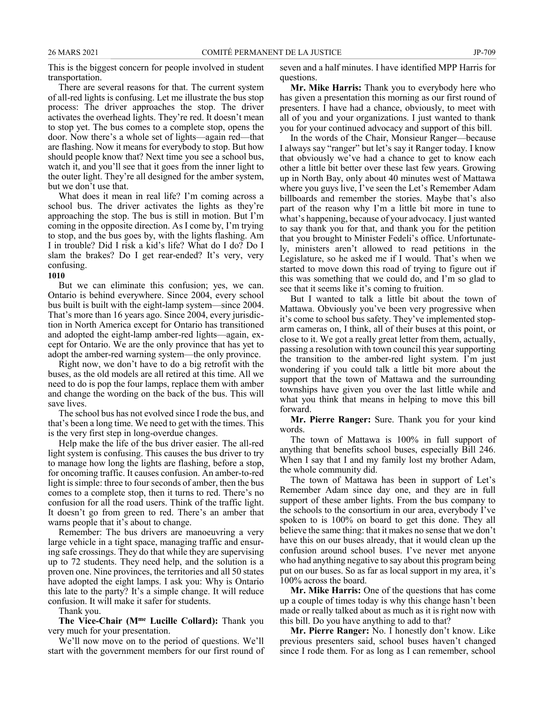This is the biggest concern for people involved in student transportation.

There are several reasons for that. The current system of all-red lights is confusing. Let me illustrate the bus stop process: The driver approaches the stop. The driver activates the overhead lights. They're red. It doesn't mean to stop yet. The bus comes to a complete stop, opens the door. Now there's a whole set of lights—again red—that are flashing. Now it means for everybody to stop. But how should people know that? Next time you see a school bus, watch it, and you'll see that it goes from the inner light to the outer light. They're all designed for the amber system, but we don't use that.

What does it mean in real life? I'm coming across a school bus. The driver activates the lights as they're approaching the stop. The bus is still in motion. But I'm coming in the opposite direction. As I come by, I'm trying to stop, and the bus goes by, with the lights flashing. Am I in trouble? Did I risk a kid's life? What do I do? Do I slam the brakes? Do I get rear-ended? It's very, very confusing.

# **1010**

But we can eliminate this confusion; yes, we can. Ontario is behind everywhere. Since 2004, every school bus built is built with the eight-lamp system—since 2004. That's more than 16 years ago. Since 2004, every jurisdiction in North America except for Ontario has transitioned and adopted the eight-lamp amber-red lights—again, except for Ontario. We are the only province that has yet to adopt the amber-red warning system—the only province.

Right now, we don't have to do a big retrofit with the buses, as the old models are all retired at this time. All we need to do is pop the four lamps, replace them with amber and change the wording on the back of the bus. This will save lives.

The school bus has not evolved since I rode the bus, and that's been a long time. We need to get with the times. This is the very first step in long-overdue changes.

Help make the life of the bus driver easier. The all-red light system is confusing. This causes the bus driver to try to manage how long the lights are flashing, before a stop, for oncoming traffic. It causes confusion. An amber-to-red light is simple: three to four seconds of amber, then the bus comes to a complete stop, then it turns to red. There's no confusion for all the road users. Think of the traffic light. It doesn't go from green to red. There's an amber that warns people that it's about to change.

Remember: The bus drivers are manoeuvring a very large vehicle in a tight space, managing traffic and ensuring safe crossings. They do that while they are supervising up to 72 students. They need help, and the solution is a proven one. Nine provinces, the territories and all 50 states have adopted the eight lamps. I ask you: Why is Ontario this late to the party? It's a simple change. It will reduce confusion. It will make it safer for students.

Thank you.

**The Vice-Chair (Mme Lucille Collard):** Thank you very much for your presentation.

We'll now move on to the period of questions. We'll start with the government members for our first round of seven and a half minutes. I have identified MPP Harris for questions.

**Mr. Mike Harris:** Thank you to everybody here who has given a presentation this morning as our first round of presenters. I have had a chance, obviously, to meet with all of you and your organizations. I just wanted to thank you for your continued advocacy and support of this bill.

In the words of the Chair, Monsieur Ranger—because I always say "ranger" but let's say it Ranger today. I know that obviously we've had a chance to get to know each other a little bit better over these last few years. Growing up in North Bay, only about 40 minutes west of Mattawa where you guys live, I've seen the Let's Remember Adam billboards and remember the stories. Maybe that's also part of the reason why I'm a little bit more in tune to what's happening, because of your advocacy. I just wanted to say thank you for that, and thank you for the petition that you brought to Minister Fedeli's office. Unfortunately, ministers aren't allowed to read petitions in the Legislature, so he asked me if I would. That's when we started to move down this road of trying to figure out if this was something that we could do, and I'm so glad to see that it seems like it's coming to fruition.

But I wanted to talk a little bit about the town of Mattawa. Obviously you've been very progressive when it's come to school bus safety. They've implemented stoparm cameras on, I think, all of their buses at this point, or close to it. We got a really great letter from them, actually, passing a resolution with town council this year supporting the transition to the amber-red light system. I'm just wondering if you could talk a little bit more about the support that the town of Mattawa and the surrounding townships have given you over the last little while and what you think that means in helping to move this bill forward.

**Mr. Pierre Ranger:** Sure. Thank you for your kind words.

The town of Mattawa is 100% in full support of anything that benefits school buses, especially Bill 246. When I say that I and my family lost my brother Adam, the whole community did.

The town of Mattawa has been in support of Let's Remember Adam since day one, and they are in full support of these amber lights. From the bus company to the schools to the consortium in our area, everybody I've spoken to is 100% on board to get this done. They all believe the same thing: that it makes no sense that we don't have this on our buses already, that it would clean up the confusion around school buses. I've never met anyone who had anything negative to say about this program being put on our buses. So as far as local support in my area, it's 100% across the board.

**Mr. Mike Harris:** One of the questions that has come up a couple of times today is why this change hasn't been made or really talked about as much as it is right now with this bill. Do you have anything to add to that?

**Mr. Pierre Ranger:** No. I honestly don't know. Like previous presenters said, school buses haven't changed since I rode them. For as long as I can remember, school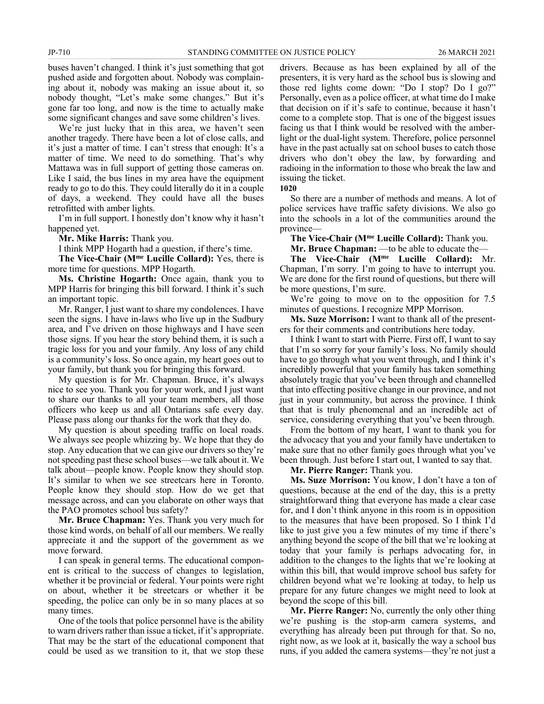buses haven't changed. I think it's just something that got pushed aside and forgotten about. Nobody was complaining about it, nobody was making an issue about it, so nobody thought, "Let's make some changes." But it's gone far too long, and now is the time to actually make some significant changes and save some children's lives.

We're just lucky that in this area, we haven't seen another tragedy. There have been a lot of close calls, and it's just a matter of time. I can't stress that enough: It's a matter of time. We need to do something. That's why Mattawa was in full support of getting those cameras on. Like I said, the bus lines in my area have the equipment ready to go to do this. They could literally do it in a couple of days, a weekend. They could have all the buses retrofitted with amber lights.

I'm in full support. I honestly don't know why it hasn't happened yet.

**Mr. Mike Harris:** Thank you.

I think MPP Hogarth had a question, if there's time.

**The Vice-Chair (Mme Lucille Collard):** Yes, there is more time for questions. MPP Hogarth.

**Ms. Christine Hogarth:** Once again, thank you to MPP Harris for bringing this bill forward. I think it's such an important topic.

Mr. Ranger, I just want to share my condolences. I have seen the signs. I have in-laws who live up in the Sudbury area, and I've driven on those highways and I have seen those signs. If you hear the story behind them, it is such a tragic loss for you and your family. Any loss of any child is a community's loss. So once again, my heart goes out to your family, but thank you for bringing this forward.

My question is for Mr. Chapman. Bruce, it's always nice to see you. Thank you for your work, and I just want to share our thanks to all your team members, all those officers who keep us and all Ontarians safe every day. Please pass along our thanks for the work that they do.

My question is about speeding traffic on local roads. We always see people whizzing by. We hope that they do stop. Any education that we can give our drivers so they're not speeding past these school buses—we talk about it. We talk about—people know. People know they should stop. It's similar to when we see streetcars here in Toronto. People know they should stop. How do we get that message across, and can you elaborate on other ways that the PAO promotes school bus safety?

**Mr. Bruce Chapman:** Yes. Thank you very much for those kind words, on behalf of all our members. We really appreciate it and the support of the government as we move forward.

I can speak in general terms. The educational component is critical to the success of changes to legislation, whether it be provincial or federal. Your points were right on about, whether it be streetcars or whether it be speeding, the police can only be in so many places at so many times.

One of the tools that police personnel have is the ability to warn drivers rather than issue a ticket, if it's appropriate. That may be the start of the educational component that could be used as we transition to it, that we stop these drivers. Because as has been explained by all of the presenters, it is very hard as the school bus is slowing and those red lights come down: "Do I stop? Do I go?" Personally, even as a police officer, at what time do I make that decision on if it's safe to continue, because it hasn't come to a complete stop. That is one of the biggest issues facing us that I think would be resolved with the amberlight or the dual-light system. Therefore, police personnel have in the past actually sat on school buses to catch those drivers who don't obey the law, by forwarding and radioing in the information to those who break the law and issuing the ticket.

**1020**

So there are a number of methods and means. A lot of police services have traffic safety divisions. We also go into the schools in a lot of the communities around the province—

**The Vice-Chair (Mme Lucille Collard):** Thank you.

**Mr. Bruce Chapman:** —to be able to educate the—

**The Vice-Chair (Mme Lucille Collard):** Mr. Chapman, I'm sorry. I'm going to have to interrupt you. We are done for the first round of questions, but there will be more questions, I'm sure.

We're going to move on to the opposition for 7.5 minutes of questions. I recognize MPP Morrison.

**Ms. Suze Morrison:** I want to thank all of the presenters for their comments and contributions here today.

I think I want to start with Pierre. First off, I want to say that I'm so sorry for your family's loss. No family should have to go through what you went through, and I think it's incredibly powerful that your family has taken something absolutely tragic that you've been through and channelled that into effecting positive change in our province, and not just in your community, but across the province. I think that that is truly phenomenal and an incredible act of service, considering everything that you've been through.

From the bottom of my heart, I want to thank you for the advocacy that you and your family have undertaken to make sure that no other family goes through what you've been through. Just before I start out, I wanted to say that.

**Mr. Pierre Ranger:** Thank you.

**Ms. Suze Morrison:** You know, I don't have a ton of questions, because at the end of the day, this is a pretty straightforward thing that everyone has made a clear case for, and I don't think anyone in this room is in opposition to the measures that have been proposed. So I think I'd like to just give you a few minutes of my time if there's anything beyond the scope of the bill that we're looking at today that your family is perhaps advocating for, in addition to the changes to the lights that we're looking at within this bill, that would improve school bus safety for children beyond what we're looking at today, to help us prepare for any future changes we might need to look at beyond the scope of this bill.

**Mr. Pierre Ranger:** No, currently the only other thing we're pushing is the stop-arm camera systems, and everything has already been put through for that. So no, right now, as we look at it, basically the way a school bus runs, if you added the camera systems—they're not just a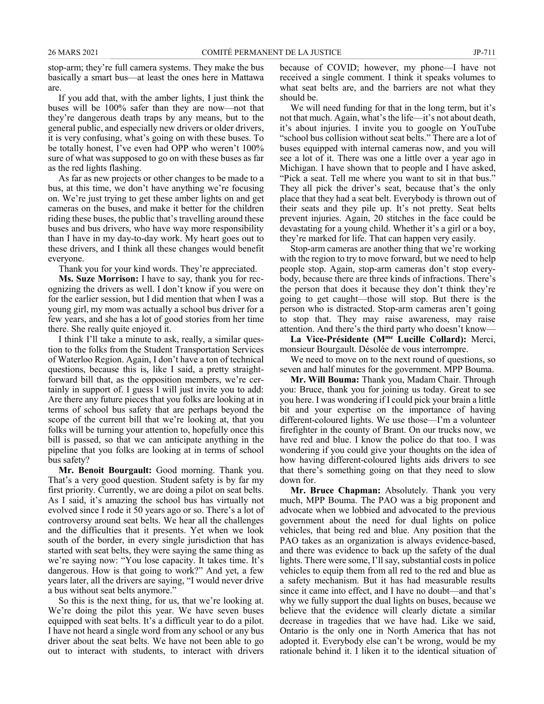stop-arm; they're full camera systems. They make the bus basically a smart bus—at least the ones here in Mattawa are.

If you add that, with the amber lights, I just think the buses will be 100% safer than they are now—not that they're dangerous death traps by any means, but to the general public, and especially new drivers or older drivers, it is very confusing, what's going on with these buses. To be totally honest, I've even had OPP who weren't 100% sure of what was supposed to go on with these buses as far as the red lights flashing.

As far as new projects or other changes to be made to a bus, at this time, we don't have anything we're focusing on. We're just trying to get these amber lights on and get cameras on the buses, and make it better for the children riding these buses, the public that's travelling around these buses and bus drivers, who have way more responsibility than I have in my day-to-day work. My heart goes out to these drivers, and I think all these changes would benefit everyone.

Thank you for your kind words. They're appreciated.

**Ms. Suze Morrison:** I have to say, thank you for recognizing the drivers as well. I don't know if you were on for the earlier session, but I did mention that when I was a young girl, my mom was actually a school bus driver for a few years, and she has a lot of good stories from her time there. She really quite enjoyed it.

I think I'll take a minute to ask, really, a similar question to the folks from the Student Transportation Services of Waterloo Region. Again, I don't have a ton of technical questions, because this is, like I said, a pretty straightforward bill that, as the opposition members, we're certainly in support of. I guess I will just invite you to add: Are there any future pieces that you folks are looking at in terms of school bus safety that are perhaps beyond the scope of the current bill that we're looking at, that you folks will be turning your attention to, hopefully once this bill is passed, so that we can anticipate anything in the pipeline that you folks are looking at in terms of school bus safety?

**Mr. Benoit Bourgault:** Good morning. Thank you. That's a very good question. Student safety is by far my first priority. Currently, we are doing a pilot on seat belts. As I said, it's amazing the school bus has virtually not evolved since I rode it 50 years ago or so. There's a lot of controversy around seat belts. We hear all the challenges and the difficulties that it presents. Yet when we look south of the border, in every single jurisdiction that has started with seat belts, they were saying the same thing as we're saying now: "You lose capacity. It takes time. It's dangerous. How is that going to work?" And yet, a few years later, all the drivers are saying, "I would never drive a bus without seat belts anymore."

So this is the next thing, for us, that we're looking at. We're doing the pilot this year. We have seven buses equipped with seat belts. It's a difficult year to do a pilot. I have not heard a single word from any school or any bus driver about the seat belts. We have not been able to go out to interact with students, to interact with drivers because of COVID; however, my phone—I have not received a single comment. I think it speaks volumes to what seat belts are, and the barriers are not what they should be.

We will need funding for that in the long term, but it's not that much. Again, what's the life—it's not about death, it's about injuries. I invite you to google on YouTube "school bus collision without seat belts." There are a lot of buses equipped with internal cameras now, and you will see a lot of it. There was one a little over a year ago in Michigan. I have shown that to people and I have asked, "Pick a seat. Tell me where you want to sit in that bus." They all pick the driver's seat, because that's the only place that they had a seat belt. Everybody is thrown out of their seats and they pile up. It's not pretty. Seat belts prevent injuries. Again, 20 stitches in the face could be devastating for a young child. Whether it's a girl or a boy, they're marked for life. That can happen very easily.

Stop-arm cameras are another thing that we're working with the region to try to move forward, but we need to help people stop. Again, stop-arm cameras don't stop everybody, because there are three kinds of infractions. There's the person that does it because they don't think they're going to get caught—those will stop. But there is the person who is distracted. Stop-arm cameras aren't going to stop that. They may raise awareness, may raise attention. And there's the third party who doesn't know—

**La Vice-Présidente (Mme Lucille Collard):** Merci, monsieur Bourgault. Désolée de vous interrompre.

We need to move on to the next round of questions, so seven and half minutes for the government. MPP Bouma.

**Mr. Will Bouma:** Thank you, Madam Chair. Through you: Bruce, thank you for joining us today. Great to see you here. I was wondering if I could pick your brain a little bit and your expertise on the importance of having different-coloured lights. We use those—I'm a volunteer firefighter in the county of Brant. On our trucks now, we have red and blue. I know the police do that too. I was wondering if you could give your thoughts on the idea of how having different-coloured lights aids drivers to see that there's something going on that they need to slow down for.

**Mr. Bruce Chapman:** Absolutely. Thank you very much, MPP Bouma. The PAO was a big proponent and advocate when we lobbied and advocated to the previous government about the need for dual lights on police vehicles, that being red and blue. Any position that the PAO takes as an organization is always evidence-based, and there was evidence to back up the safety of the dual lights. There were some, I'll say, substantial costs in police vehicles to equip them from all red to the red and blue as a safety mechanism. But it has had measurable results since it came into effect, and I have no doubt—and that's why we fully support the dual lights on buses, because we believe that the evidence will clearly dictate a similar decrease in tragedies that we have had. Like we said, Ontario is the only one in North America that has not adopted it. Everybody else can't be wrong, would be my rationale behind it. I liken it to the identical situation of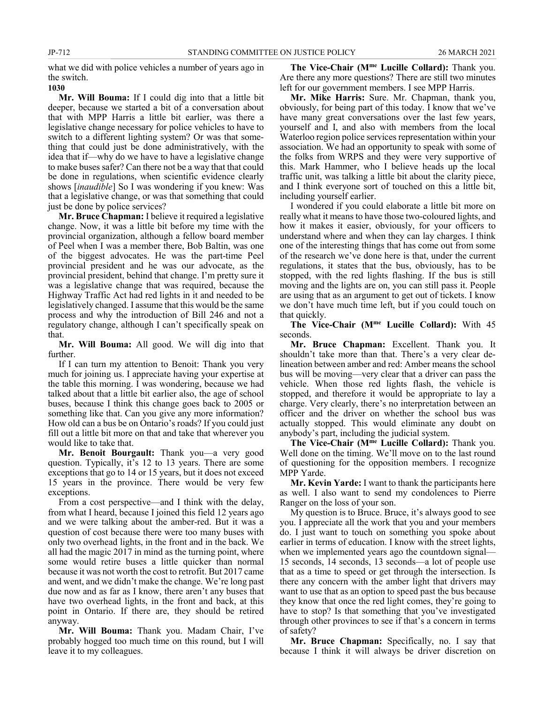what we did with police vehicles a number of years ago in the switch.

# **1030**

**Mr. Will Bouma:** If I could dig into that a little bit deeper, because we started a bit of a conversation about that with MPP Harris a little bit earlier, was there a legislative change necessary for police vehicles to have to switch to a different lighting system? Or was that something that could just be done administratively, with the idea that if—why do we have to have a legislative change to make buses safer? Can there not be a way that that could be done in regulations, when scientific evidence clearly shows [*inaudible*] So I was wondering if you knew: Was that a legislative change, or was that something that could just be done by police services?

**Mr. Bruce Chapman:** I believe it required a legislative change. Now, it was a little bit before my time with the provincial organization, although a fellow board member of Peel when I was a member there, Bob Baltin, was one of the biggest advocates. He was the part-time Peel provincial president and he was our advocate, as the provincial president, behind that change. I'm pretty sure it was a legislative change that was required, because the Highway Traffic Act had red lights in it and needed to be legislatively changed. I assume that this would be the same process and why the introduction of Bill 246 and not a regulatory change, although I can't specifically speak on that.

**Mr. Will Bouma:** All good. We will dig into that further.

If I can turn my attention to Benoit: Thank you very much for joining us. I appreciate having your expertise at the table this morning. I was wondering, because we had talked about that a little bit earlier also, the age of school buses, because I think this change goes back to 2005 or something like that. Can you give any more information? How old can a bus be on Ontario's roads? If you could just fill out a little bit more on that and take that wherever you would like to take that.

**Mr. Benoit Bourgault:** Thank you—a very good question. Typically, it's 12 to 13 years. There are some exceptions that go to 14 or 15 years, but it does not exceed 15 years in the province. There would be very few exceptions.

From a cost perspective—and I think with the delay, from what I heard, because I joined this field 12 years ago and we were talking about the amber-red. But it was a question of cost because there were too many buses with only two overhead lights, in the front and in the back. We all had the magic 2017 in mind as the turning point, where some would retire buses a little quicker than normal because it was not worth the cost to retrofit. But 2017 came and went, and we didn't make the change. We're long past due now and as far as I know, there aren't any buses that have two overhead lights, in the front and back, at this point in Ontario. If there are, they should be retired anyway.

**Mr. Will Bouma:** Thank you. Madam Chair, I've probably hogged too much time on this round, but I will leave it to my colleagues.

**The Vice-Chair (Mme Lucille Collard):** Thank you. Are there any more questions? There are still two minutes left for our government members. I see MPP Harris.

**Mr. Mike Harris:** Sure. Mr. Chapman, thank you, obviously, for being part of this today. I know that we've have many great conversations over the last few years, yourself and I, and also with members from the local Waterloo region police services representation within your association. We had an opportunity to speak with some of the folks from WRPS and they were very supportive of this. Mark Hammer, who I believe heads up the local traffic unit, was talking a little bit about the clarity piece, and I think everyone sort of touched on this a little bit, including yourself earlier.

I wondered if you could elaborate a little bit more on really what it means to have those two-coloured lights, and how it makes it easier, obviously, for your officers to understand where and when they can lay charges. I think one of the interesting things that has come out from some of the research we've done here is that, under the current regulations, it states that the bus, obviously, has to be stopped, with the red lights flashing. If the bus is still moving and the lights are on, you can still pass it. People are using that as an argument to get out of tickets. I know we don't have much time left, but if you could touch on that quickly.

**The Vice-Chair (Mme Lucille Collard):** With 45 seconds.

**Mr. Bruce Chapman:** Excellent. Thank you. It shouldn't take more than that. There's a very clear delineation between amber and red: Amber means the school bus will be moving—very clear that a driver can pass the vehicle. When those red lights flash, the vehicle is stopped, and therefore it would be appropriate to lay a charge. Very clearly, there's no interpretation between an officer and the driver on whether the school bus was actually stopped. This would eliminate any doubt on anybody's part, including the judicial system.

**The Vice-Chair (Mme Lucille Collard):** Thank you. Well done on the timing. We'll move on to the last round of questioning for the opposition members. I recognize MPP Yarde.

**Mr. Kevin Yarde:** I want to thank the participants here as well. I also want to send my condolences to Pierre Ranger on the loss of your son.

My question is to Bruce. Bruce, it's always good to see you. I appreciate all the work that you and your members do. I just want to touch on something you spoke about earlier in terms of education. I know with the street lights, when we implemented years ago the countdown signal— 15 seconds, 14 seconds, 13 seconds—a lot of people use that as a time to speed or get through the intersection. Is there any concern with the amber light that drivers may want to use that as an option to speed past the bus because they know that once the red light comes, they're going to have to stop? Is that something that you've investigated through other provinces to see if that's a concern in terms of safety?

**Mr. Bruce Chapman:** Specifically, no. I say that because I think it will always be driver discretion on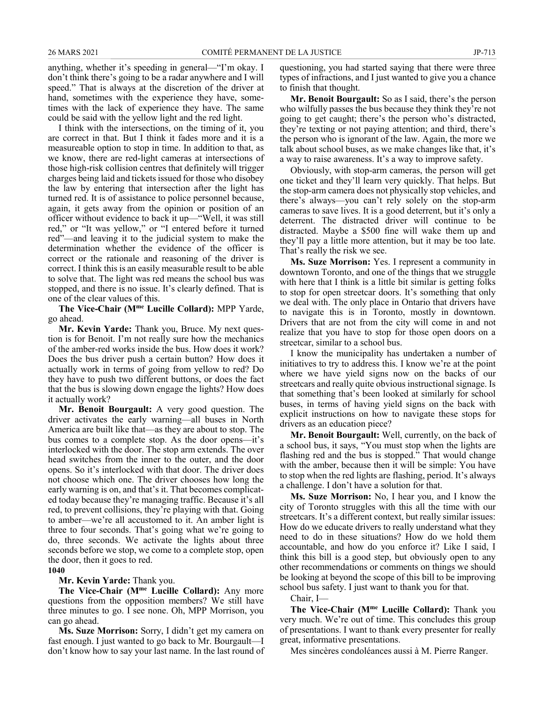anything, whether it's speeding in general—"I'm okay. I don't think there's going to be a radar anywhere and I will speed." That is always at the discretion of the driver at hand, sometimes with the experience they have, sometimes with the lack of experience they have. The same could be said with the yellow light and the red light.

I think with the intersections, on the timing of it, you are correct in that. But I think it fades more and it is a measureable option to stop in time. In addition to that, as we know, there are red-light cameras at intersections of those high-risk collision centres that definitely will trigger charges being laid and tickets issued for those who disobey the law by entering that intersection after the light has turned red. It is of assistance to police personnel because, again, it gets away from the opinion or position of an officer without evidence to back it up—"Well, it was still red," or "It was yellow," or "I entered before it turned red"—and leaving it to the judicial system to make the determination whether the evidence of the officer is correct or the rationale and reasoning of the driver is correct. I think this is an easily measurable result to be able to solve that. The light was red means the school bus was stopped, and there is no issue. It's clearly defined. That is one of the clear values of this.

**The Vice-Chair (Mme Lucille Collard):** MPP Yarde, go ahead.

**Mr. Kevin Yarde:** Thank you, Bruce. My next question is for Benoit. I'm not really sure how the mechanics of the amber-red works inside the bus. How does it work? Does the bus driver push a certain button? How does it actually work in terms of going from yellow to red? Do they have to push two different buttons, or does the fact that the bus is slowing down engage the lights? How does it actually work?

**Mr. Benoit Bourgault:** A very good question. The driver activates the early warning—all buses in North America are built like that—as they are about to stop. The bus comes to a complete stop. As the door opens—it's interlocked with the door. The stop arm extends. The over head switches from the inner to the outer, and the door opens. So it's interlocked with that door. The driver does not choose which one. The driver chooses how long the early warning is on, and that's it. That becomes complicated today because they're managing traffic. Because it's all red, to prevent collisions, they're playing with that. Going to amber—we're all accustomed to it. An amber light is three to four seconds. That's going what we're going to do, three seconds. We activate the lights about three seconds before we stop, we come to a complete stop, open the door, then it goes to red.

**1040**

**Mr. Kevin Yarde:** Thank you.

**The Vice-Chair (Mme Lucille Collard):** Any more questions from the opposition members? We still have three minutes to go. I see none. Oh, MPP Morrison, you can go ahead.

**Ms. Suze Morrison:** Sorry, I didn't get my camera on fast enough. I just wanted to go back to Mr. Bourgault—I don't know how to say your last name. In the last round of questioning, you had started saying that there were three types of infractions, and I just wanted to give you a chance to finish that thought.

**Mr. Benoit Bourgault:** So as I said, there's the person who wilfully passes the bus because they think they're not going to get caught; there's the person who's distracted, they're texting or not paying attention; and third, there's the person who is ignorant of the law. Again, the more we talk about school buses, as we make changes like that, it's a way to raise awareness. It's a way to improve safety.

Obviously, with stop-arm cameras, the person will get one ticket and they'll learn very quickly. That helps. But the stop-arm camera does not physically stop vehicles, and there's always—you can't rely solely on the stop-arm cameras to save lives. It is a good deterrent, but it's only a deterrent. The distracted driver will continue to be distracted. Maybe a \$500 fine will wake them up and they'll pay a little more attention, but it may be too late. That's really the risk we see.

**Ms. Suze Morrison:** Yes. I represent a community in downtown Toronto, and one of the things that we struggle with here that I think is a little bit similar is getting folks to stop for open streetcar doors. It's something that only we deal with. The only place in Ontario that drivers have to navigate this is in Toronto, mostly in downtown. Drivers that are not from the city will come in and not realize that you have to stop for those open doors on a streetcar, similar to a school bus.

I know the municipality has undertaken a number of initiatives to try to address this. I know we're at the point where we have yield signs now on the backs of our streetcars and really quite obvious instructional signage. Is that something that's been looked at similarly for school buses, in terms of having yield signs on the back with explicit instructions on how to navigate these stops for drivers as an education piece?

**Mr. Benoit Bourgault:** Well, currently, on the back of a school bus, it says, "You must stop when the lights are flashing red and the bus is stopped." That would change with the amber, because then it will be simple: You have to stop when the red lights are flashing, period. It's always a challenge. I don't have a solution for that.

**Ms. Suze Morrison:** No, I hear you, and I know the city of Toronto struggles with this all the time with our streetcars. It's a different context, but really similar issues: How do we educate drivers to really understand what they need to do in these situations? How do we hold them accountable, and how do you enforce it? Like I said, I think this bill is a good step, but obviously open to any other recommendations or comments on things we should be looking at beyond the scope of this bill to be improving school bus safety. I just want to thank you for that.

Chair, I—

**The Vice-Chair (Mme Lucille Collard):** Thank you very much. We're out of time. This concludes this group of presentations. I want to thank every presenter for really great, informative presentations.

Mes sincères condoléances aussi à M. Pierre Ranger.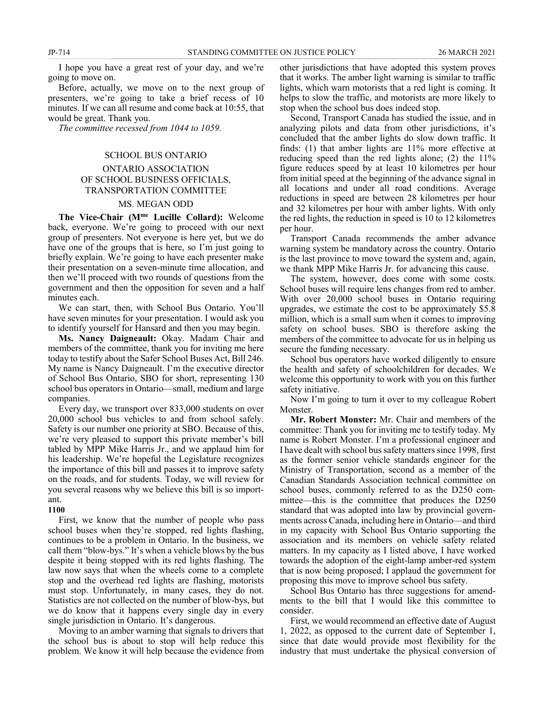I hope you have a great rest of your day, and we're going to move on.

Before, actually, we move on to the next group of presenters, we're going to take a brief recess of 10 minutes. If we can all resume and come back at 10:55, that would be great. Thank you.

*The committee recessed from 1044 to 1059.*

#### SCHOOL BUS ONTARIO

# ONTARIO ASSOCIATION OF SCHOOL BUSINESS OFFICIALS, TRANSPORTATION COMMITTEE

### MS. MEGAN ODD

**The Vice-Chair (Mme Lucille Collard):** Welcome back, everyone. We're going to proceed with our next group of presenters. Not everyone is here yet, but we do have one of the groups that is here, so I'm just going to briefly explain. We're going to have each presenter make their presentation on a seven-minute time allocation, and then we'll proceed with two rounds of questions from the government and then the opposition for seven and a half minutes each.

We can start, then, with School Bus Ontario. You'll have seven minutes for your presentation. I would ask you to identify yourself for Hansard and then you may begin.

**Ms. Nancy Daigneault:** Okay. Madam Chair and members of the committee, thank you for inviting me here today to testify about the Safer School Buses Act, Bill 246. My name is Nancy Daigneault. I'm the executive director of School Bus Ontario, SBO for short, representing 130 school bus operators in Ontario—small, medium and large companies.

Every day, we transport over 833,000 students on over 20,000 school bus vehicles to and from school safely. Safety is our number one priority at SBO. Because of this, we're very pleased to support this private member's bill tabled by MPP Mike Harris Jr., and we applaud him for his leadership. We're hopeful the Legislature recognizes the importance of this bill and passes it to improve safety on the roads, and for students. Today, we will review for you several reasons why we believe this bill is so important.

#### **1100**

First, we know that the number of people who pass school buses when they're stopped, red lights flashing, continues to be a problem in Ontario. In the business, we call them "blow-bys." It's when a vehicle blows by the bus despite it being stopped with its red lights flashing. The law now says that when the wheels come to a complete stop and the overhead red lights are flashing, motorists must stop. Unfortunately, in many cases, they do not. Statistics are not collected on the number of blow-bys, but we do know that it happens every single day in every single jurisdiction in Ontario. It's dangerous.

Moving to an amber warning that signals to drivers that the school bus is about to stop will help reduce this problem. We know it will help because the evidence from other jurisdictions that have adopted this system proves that it works. The amber light warning is similar to traffic lights, which warn motorists that a red light is coming. It helps to slow the traffic, and motorists are more likely to stop when the school bus does indeed stop.

Second, Transport Canada has studied the issue, and in analyzing pilots and data from other jurisdictions, it's concluded that the amber lights do slow down traffic. It finds: (1) that amber lights are 11% more effective at reducing speed than the red lights alone; (2) the 11% figure reduces speed by at least 10 kilometres per hour from initial speed at the beginning of the advance signal in all locations and under all road conditions. Average reductions in speed are between 28 kilometres per hour and 32 kilometres per hour with amber lights. With only the red lights, the reduction in speed is 10 to 12 kilometres per hour.

Transport Canada recommends the amber advance warning system be mandatory across the country. Ontario is the last province to move toward the system and, again, we thank MPP Mike Harris Jr. for advancing this cause.

The system, however, does come with some costs. School buses will require lens changes from red to amber. With over 20,000 school buses in Ontario requiring upgrades, we estimate the cost to be approximately \$5.8 million, which is a small sum when it comes to improving safety on school buses. SBO is therefore asking the members of the committee to advocate for us in helping us secure the funding necessary.

School bus operators have worked diligently to ensure the health and safety of schoolchildren for decades. We welcome this opportunity to work with you on this further safety initiative.

Now I'm going to turn it over to my colleague Robert Monster.

**Mr. Robert Monster:** Mr. Chair and members of the committee: Thank you for inviting me to testify today. My name is Robert Monster. I'm a professional engineer and I have dealt with school bus safety matters since 1998, first as the former senior vehicle standards engineer for the Ministry of Transportation, second as a member of the Canadian Standards Association technical committee on school buses, commonly referred to as the D250 committee—this is the committee that produces the D250 standard that was adopted into law by provincial governments across Canada, including here in Ontario—and third in my capacity with School Bus Ontario supporting the association and its members on vehicle safety related matters. In my capacity as I listed above, I have worked towards the adoption of the eight-lamp amber-red system that is now being proposed; I applaud the government for proposing this move to improve school bus safety.

School Bus Ontario has three suggestions for amendments to the bill that I would like this committee to consider.

First, we would recommend an effective date of August 1, 2022, as opposed to the current date of September 1, since that date would provide most flexibility for the industry that must undertake the physical conversion of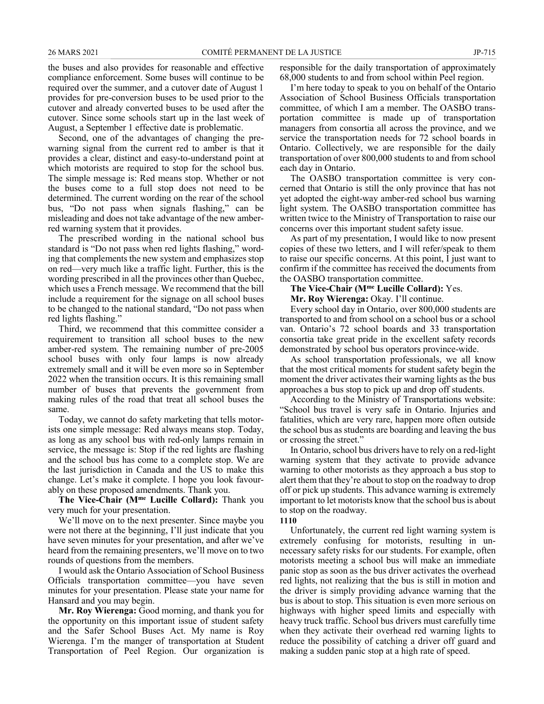the buses and also provides for reasonable and effective compliance enforcement. Some buses will continue to be required over the summer, and a cutover date of August 1 provides for pre-conversion buses to be used prior to the cutover and already converted buses to be used after the cutover. Since some schools start up in the last week of August, a September 1 effective date is problematic.

Second, one of the advantages of changing the prewarning signal from the current red to amber is that it provides a clear, distinct and easy-to-understand point at which motorists are required to stop for the school bus. The simple message is: Red means stop. Whether or not the buses come to a full stop does not need to be determined. The current wording on the rear of the school bus, "Do not pass when signals flashing," can be misleading and does not take advantage of the new amberred warning system that it provides.

The prescribed wording in the national school bus standard is "Do not pass when red lights flashing," wording that complements the new system and emphasizes stop on red—very much like a traffic light. Further, this is the wording prescribed in all the provinces other than Quebec, which uses a French message. We recommend that the bill include a requirement for the signage on all school buses to be changed to the national standard, "Do not pass when red lights flashing."

Third, we recommend that this committee consider a requirement to transition all school buses to the new amber-red system. The remaining number of pre-2005 school buses with only four lamps is now already extremely small and it will be even more so in September 2022 when the transition occurs. It is this remaining small number of buses that prevents the government from making rules of the road that treat all school buses the same.

Today, we cannot do safety marketing that tells motorists one simple message: Red always means stop. Today, as long as any school bus with red-only lamps remain in service, the message is: Stop if the red lights are flashing and the school bus has come to a complete stop. We are the last jurisdiction in Canada and the US to make this change. Let's make it complete. I hope you look favourably on these proposed amendments. Thank you.

**The Vice-Chair (Mme Lucille Collard):** Thank you very much for your presentation.

We'll move on to the next presenter. Since maybe you were not there at the beginning, I'll just indicate that you have seven minutes for your presentation, and after we've heard from the remaining presenters, we'll move on to two rounds of questions from the members.

I would ask the Ontario Association of School Business Officials transportation committee—you have seven minutes for your presentation. Please state your name for Hansard and you may begin.

**Mr. Roy Wierenga:** Good morning, and thank you for the opportunity on this important issue of student safety and the Safer School Buses Act. My name is Roy Wierenga. I'm the manger of transportation at Student Transportation of Peel Region. Our organization is

responsible for the daily transportation of approximately 68,000 students to and from school within Peel region.

I'm here today to speak to you on behalf of the Ontario Association of School Business Officials transportation committee, of which I am a member. The OASBO transportation committee is made up of transportation managers from consortia all across the province, and we service the transportation needs for 72 school boards in Ontario. Collectively, we are responsible for the daily transportation of over 800,000 students to and from school each day in Ontario.

The OASBO transportation committee is very concerned that Ontario is still the only province that has not yet adopted the eight-way amber-red school bus warning light system. The OASBO transportation committee has written twice to the Ministry of Transportation to raise our concerns over this important student safety issue.

As part of my presentation, I would like to now present copies of these two letters, and I will refer/speak to them to raise our specific concerns. At this point, I just want to confirm if the committee has received the documents from the OASBO transportation committee.

**The Vice-Chair (Mme Lucille Collard):** Yes.

**Mr. Roy Wierenga:** Okay. I'll continue.

Every school day in Ontario, over 800,000 students are transported to and from school on a school bus or a school van. Ontario's 72 school boards and 33 transportation consortia take great pride in the excellent safety records demonstrated by school bus operators province-wide.

As school transportation professionals, we all know that the most critical moments for student safety begin the moment the driver activates their warning lights as the bus approaches a bus stop to pick up and drop off students.

According to the Ministry of Transportations website: "School bus travel is very safe in Ontario. Injuries and fatalities, which are very rare, happen more often outside the school bus as students are boarding and leaving the bus or crossing the street."

In Ontario, school bus drivers have to rely on a red-light warning system that they activate to provide advance warning to other motorists as they approach a bus stop to alert them that they're about to stop on the roadway to drop off or pick up students. This advance warning is extremely important to let motorists know that the school bus is about to stop on the roadway.

## **1110**

Unfortunately, the current red light warning system is extremely confusing for motorists, resulting in unnecessary safety risks for our students. For example, often motorists meeting a school bus will make an immediate panic stop as soon as the bus driver activates the overhead red lights, not realizing that the bus is still in motion and the driver is simply providing advance warning that the bus is about to stop. This situation is even more serious on highways with higher speed limits and especially with heavy truck traffic. School bus drivers must carefully time when they activate their overhead red warning lights to reduce the possibility of catching a driver off guard and making a sudden panic stop at a high rate of speed.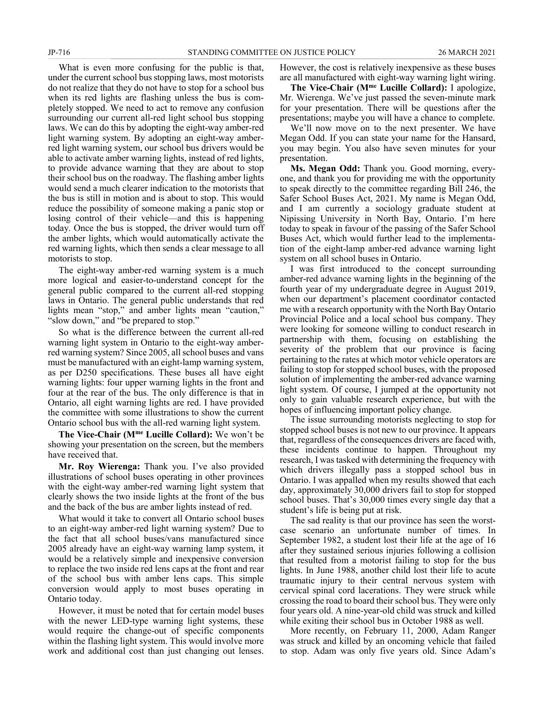What is even more confusing for the public is that, under the current school bus stopping laws, most motorists do not realize that they do not have to stop for a school bus when its red lights are flashing unless the bus is completely stopped. We need to act to remove any confusion surrounding our current all-red light school bus stopping laws. We can do this by adopting the eight-way amber-red light warning system. By adopting an eight-way amberred light warning system, our school bus drivers would be able to activate amber warning lights, instead of red lights, to provide advance warning that they are about to stop their school bus on the roadway. The flashing amber lights would send a much clearer indication to the motorists that the bus is still in motion and is about to stop. This would reduce the possibility of someone making a panic stop or losing control of their vehicle—and this is happening today. Once the bus is stopped, the driver would turn off the amber lights, which would automatically activate the red warning lights, which then sends a clear message to all motorists to stop.

The eight-way amber-red warning system is a much more logical and easier-to-understand concept for the general public compared to the current all-red stopping laws in Ontario. The general public understands that red lights mean "stop," and amber lights mean "caution," "slow down," and "be prepared to stop."

So what is the difference between the current all-red warning light system in Ontario to the eight-way amberred warning system? Since 2005, all school buses and vans must be manufactured with an eight-lamp warning system, as per D250 specifications. These buses all have eight warning lights: four upper warning lights in the front and four at the rear of the bus. The only difference is that in Ontario, all eight warning lights are red. I have provided the committee with some illustrations to show the current Ontario school bus with the all-red warning light system.

**The Vice-Chair (Mme Lucille Collard):** We won't be showing your presentation on the screen, but the members have received that.

**Mr. Roy Wierenga:** Thank you. I've also provided illustrations of school buses operating in other provinces with the eight-way amber-red warning light system that clearly shows the two inside lights at the front of the bus and the back of the bus are amber lights instead of red.

What would it take to convert all Ontario school buses to an eight-way amber-red light warning system? Due to the fact that all school buses/vans manufactured since 2005 already have an eight-way warning lamp system, it would be a relatively simple and inexpensive conversion to replace the two inside red lens caps at the front and rear of the school bus with amber lens caps. This simple conversion would apply to most buses operating in Ontario today.

However, it must be noted that for certain model buses with the newer LED-type warning light systems, these would require the change-out of specific components within the flashing light system. This would involve more work and additional cost than just changing out lenses. However, the cost is relatively inexpensive as these buses are all manufactured with eight-way warning light wiring.

**The Vice-Chair (Mme Lucille Collard):** I apologize, Mr. Wierenga. We've just passed the seven-minute mark for your presentation. There will be questions after the presentations; maybe you will have a chance to complete.

We'll now move on to the next presenter. We have Megan Odd. If you can state your name for the Hansard, you may begin. You also have seven minutes for your presentation.

**Ms. Megan Odd:** Thank you. Good morning, everyone, and thank you for providing me with the opportunity to speak directly to the committee regarding Bill 246, the Safer School Buses Act, 2021. My name is Megan Odd, and I am currently a sociology graduate student at Nipissing University in North Bay, Ontario. I'm here today to speak in favour of the passing of the Safer School Buses Act, which would further lead to the implementation of the eight-lamp amber-red advance warning light system on all school buses in Ontario.

I was first introduced to the concept surrounding amber-red advance warning lights in the beginning of the fourth year of my undergraduate degree in August 2019, when our department's placement coordinator contacted me with a research opportunity with the North Bay Ontario Provincial Police and a local school bus company. They were looking for someone willing to conduct research in partnership with them, focusing on establishing the severity of the problem that our province is facing pertaining to the rates at which motor vehicle operators are failing to stop for stopped school buses, with the proposed solution of implementing the amber-red advance warning light system. Of course, I jumped at the opportunity not only to gain valuable research experience, but with the hopes of influencing important policy change.

The issue surrounding motorists neglecting to stop for stopped school buses is not new to our province. It appears that, regardless of the consequences drivers are faced with, these incidents continue to happen. Throughout my research, I was tasked with determining the frequency with which drivers illegally pass a stopped school bus in Ontario. I was appalled when my results showed that each day, approximately 30,000 drivers fail to stop for stopped school buses. That's 30,000 times every single day that a student's life is being put at risk.

The sad reality is that our province has seen the worstcase scenario an unfortunate number of times. In September 1982, a student lost their life at the age of 16 after they sustained serious injuries following a collision that resulted from a motorist failing to stop for the bus lights. In June 1988, another child lost their life to acute traumatic injury to their central nervous system with cervical spinal cord lacerations. They were struck while crossing the road to board their school bus. They were only four years old. A nine-year-old child was struck and killed while exiting their school bus in October 1988 as well.

More recently, on February 11, 2000, Adam Ranger was struck and killed by an oncoming vehicle that failed to stop. Adam was only five years old. Since Adam's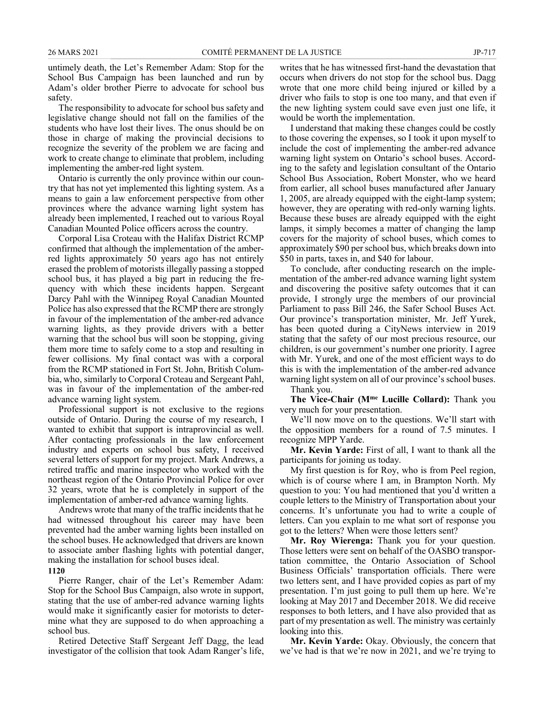untimely death, the Let's Remember Adam: Stop for the School Bus Campaign has been launched and run by Adam's older brother Pierre to advocate for school bus safety.

The responsibility to advocate for school bus safety and legislative change should not fall on the families of the students who have lost their lives. The onus should be on those in charge of making the provincial decisions to recognize the severity of the problem we are facing and work to create change to eliminate that problem, including implementing the amber-red light system.

Ontario is currently the only province within our country that has not yet implemented this lighting system. As a means to gain a law enforcement perspective from other provinces where the advance warning light system has already been implemented, I reached out to various Royal Canadian Mounted Police officers across the country.

Corporal Lisa Croteau with the Halifax District RCMP confirmed that although the implementation of the amberred lights approximately 50 years ago has not entirely erased the problem of motorists illegally passing a stopped school bus, it has played a big part in reducing the frequency with which these incidents happen. Sergeant Darcy Pahl with the Winnipeg Royal Canadian Mounted Police has also expressed that the RCMP there are strongly in favour of the implementation of the amber-red advance warning lights, as they provide drivers with a better warning that the school bus will soon be stopping, giving them more time to safely come to a stop and resulting in fewer collisions. My final contact was with a corporal from the RCMP stationed in Fort St. John, British Columbia, who, similarly to Corporal Croteau and Sergeant Pahl, was in favour of the implementation of the amber-red advance warning light system.

Professional support is not exclusive to the regions outside of Ontario. During the course of my research, I wanted to exhibit that support is intraprovincial as well. After contacting professionals in the law enforcement industry and experts on school bus safety, I received several letters of support for my project. Mark Andrews, a retired traffic and marine inspector who worked with the northeast region of the Ontario Provincial Police for over 32 years, wrote that he is completely in support of the implementation of amber-red advance warning lights.

Andrews wrote that many of the traffic incidents that he had witnessed throughout his career may have been prevented had the amber warning lights been installed on the school buses. He acknowledged that drivers are known to associate amber flashing lights with potential danger, making the installation for school buses ideal.

**1120**

Pierre Ranger, chair of the Let's Remember Adam: Stop for the School Bus Campaign, also wrote in support, stating that the use of amber-red advance warning lights would make it significantly easier for motorists to determine what they are supposed to do when approaching a school bus.

Retired Detective Staff Sergeant Jeff Dagg, the lead investigator of the collision that took Adam Ranger's life, writes that he has witnessed first-hand the devastation that occurs when drivers do not stop for the school bus. Dagg wrote that one more child being injured or killed by a driver who fails to stop is one too many, and that even if the new lighting system could save even just one life, it would be worth the implementation.

I understand that making these changes could be costly to those covering the expenses, so I took it upon myself to include the cost of implementing the amber-red advance warning light system on Ontario's school buses. According to the safety and legislation consultant of the Ontario School Bus Association, Robert Monster, who we heard from earlier, all school buses manufactured after January 1, 2005, are already equipped with the eight-lamp system; however, they are operating with red-only warning lights. Because these buses are already equipped with the eight lamps, it simply becomes a matter of changing the lamp covers for the majority of school buses, which comes to approximately \$90 per school bus, which breaks down into \$50 in parts, taxes in, and \$40 for labour.

To conclude, after conducting research on the implementation of the amber-red advance warning light system and discovering the positive safety outcomes that it can provide, I strongly urge the members of our provincial Parliament to pass Bill 246, the Safer School Buses Act. Our province's transportation minister, Mr. Jeff Yurek, has been quoted during a CityNews interview in 2019 stating that the safety of our most precious resource, our children, is our government's number one priority. I agree with Mr. Yurek, and one of the most efficient ways to do this is with the implementation of the amber-red advance warning light system on all of our province's school buses.

Thank you.

**The Vice-Chair (Mme Lucille Collard):** Thank you very much for your presentation.

We'll now move on to the questions. We'll start with the opposition members for a round of 7.5 minutes. I recognize MPP Yarde.

**Mr. Kevin Yarde:** First of all, I want to thank all the participants for joining us today.

My first question is for Roy, who is from Peel region, which is of course where I am, in Brampton North. My question to you: You had mentioned that you'd written a couple letters to the Ministry of Transportation about your concerns. It's unfortunate you had to write a couple of letters. Can you explain to me what sort of response you got to the letters? When were those letters sent?

**Mr. Roy Wierenga:** Thank you for your question. Those letters were sent on behalf of the OASBO transportation committee, the Ontario Association of School Business Officials' transportation officials. There were two letters sent, and I have provided copies as part of my presentation. I'm just going to pull them up here. We're looking at May 2017 and December 2018. We did receive responses to both letters, and I have also provided that as part of my presentation as well. The ministry was certainly looking into this.

**Mr. Kevin Yarde:** Okay. Obviously, the concern that we've had is that we're now in 2021, and we're trying to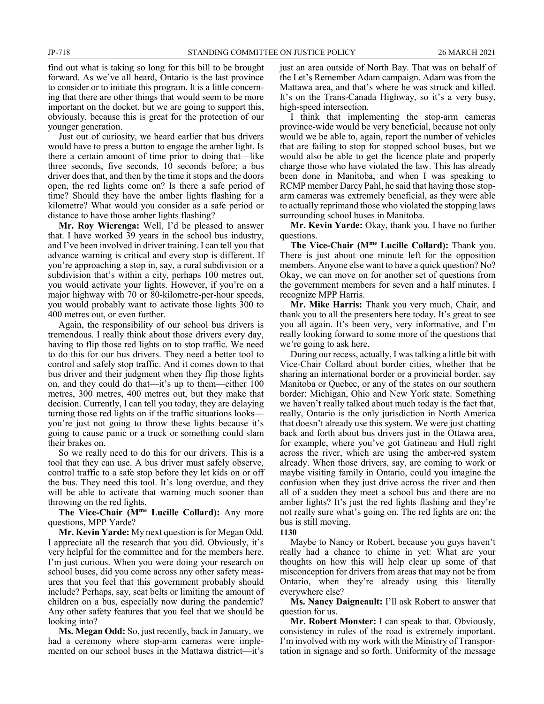find out what is taking so long for this bill to be brought forward. As we've all heard, Ontario is the last province to consider or to initiate this program. It is a little concerning that there are other things that would seem to be more important on the docket, but we are going to support this, obviously, because this is great for the protection of our younger generation.

Just out of curiosity, we heard earlier that bus drivers would have to press a button to engage the amber light. Is there a certain amount of time prior to doing that—like three seconds, five seconds, 10 seconds before; a bus driver does that, and then by the time it stops and the doors open, the red lights come on? Is there a safe period of time? Should they have the amber lights flashing for a kilometre? What would you consider as a safe period or distance to have those amber lights flashing?

**Mr. Roy Wierenga:** Well, I'd be pleased to answer that. I have worked 39 years in the school bus industry, and I've been involved in driver training. I can tell you that advance warning is critical and every stop is different. If you're approaching a stop in, say, a rural subdivision or a subdivision that's within a city, perhaps 100 metres out, you would activate your lights. However, if you're on a major highway with 70 or 80-kilometre-per-hour speeds, you would probably want to activate those lights 300 to 400 metres out, or even further.

Again, the responsibility of our school bus drivers is tremendous. I really think about those drivers every day, having to flip those red lights on to stop traffic. We need to do this for our bus drivers. They need a better tool to control and safely stop traffic. And it comes down to that bus driver and their judgment when they flip those lights on, and they could do that—it's up to them—either 100 metres, 300 metres, 400 metres out, but they make that decision. Currently, I can tell you today, they are delaying turning those red lights on if the traffic situations looks you're just not going to throw these lights because it's going to cause panic or a truck or something could slam their brakes on.

So we really need to do this for our drivers. This is a tool that they can use. A bus driver must safely observe, control traffic to a safe stop before they let kids on or off the bus. They need this tool. It's long overdue, and they will be able to activate that warning much sooner than throwing on the red lights.

**The Vice-Chair (Mme Lucille Collard):** Any more questions, MPP Yarde?

**Mr. Kevin Yarde:** My next question is for Megan Odd. I appreciate all the research that you did. Obviously, it's very helpful for the committee and for the members here. I'm just curious. When you were doing your research on school buses, did you come across any other safety measures that you feel that this government probably should include? Perhaps, say, seat belts or limiting the amount of children on a bus, especially now during the pandemic? Any other safety features that you feel that we should be looking into?

**Ms. Megan Odd:** So, just recently, back in January, we had a ceremony where stop-arm cameras were implemented on our school buses in the Mattawa district—it's just an area outside of North Bay. That was on behalf of the Let's Remember Adam campaign. Adam was from the Mattawa area, and that's where he was struck and killed. It's on the Trans-Canada Highway, so it's a very busy, high-speed intersection.

I think that implementing the stop-arm cameras province-wide would be very beneficial, because not only would we be able to, again, report the number of vehicles that are failing to stop for stopped school buses, but we would also be able to get the licence plate and properly charge those who have violated the law. This has already been done in Manitoba, and when I was speaking to RCMP member Darcy Pahl, he said that having those stoparm cameras was extremely beneficial, as they were able to actually reprimand those who violated the stopping laws surrounding school buses in Manitoba.

**Mr. Kevin Yarde:** Okay, thank you. I have no further questions.

**The Vice-Chair (Mme Lucille Collard):** Thank you. There is just about one minute left for the opposition members. Anyone else want to have a quick question? No? Okay, we can move on for another set of questions from the government members for seven and a half minutes. I recognize MPP Harris.

**Mr. Mike Harris:** Thank you very much, Chair, and thank you to all the presenters here today. It's great to see you all again. It's been very, very informative, and I'm really looking forward to some more of the questions that we're going to ask here.

During our recess, actually, I was talking a little bit with Vice-Chair Collard about border cities, whether that be sharing an international border or a provincial border, say Manitoba or Quebec, or any of the states on our southern border: Michigan, Ohio and New York state. Something we haven't really talked about much today is the fact that, really, Ontario is the only jurisdiction in North America that doesn't already use this system. We were just chatting back and forth about bus drivers just in the Ottawa area, for example, where you've got Gatineau and Hull right across the river, which are using the amber-red system already. When those drivers, say, are coming to work or maybe visiting family in Ontario, could you imagine the confusion when they just drive across the river and then all of a sudden they meet a school bus and there are no amber lights? It's just the red lights flashing and they're not really sure what's going on. The red lights are on; the bus is still moving.

**1130**

Maybe to Nancy or Robert, because you guys haven't really had a chance to chime in yet: What are your thoughts on how this will help clear up some of that misconception for drivers from areas that may not be from Ontario, when they're already using this literally everywhere else?

**Ms. Nancy Daigneault:** I'll ask Robert to answer that question for us.

**Mr. Robert Monster:** I can speak to that. Obviously, consistency in rules of the road is extremely important. I'm involved with my work with the Ministry of Transportation in signage and so forth. Uniformity of the message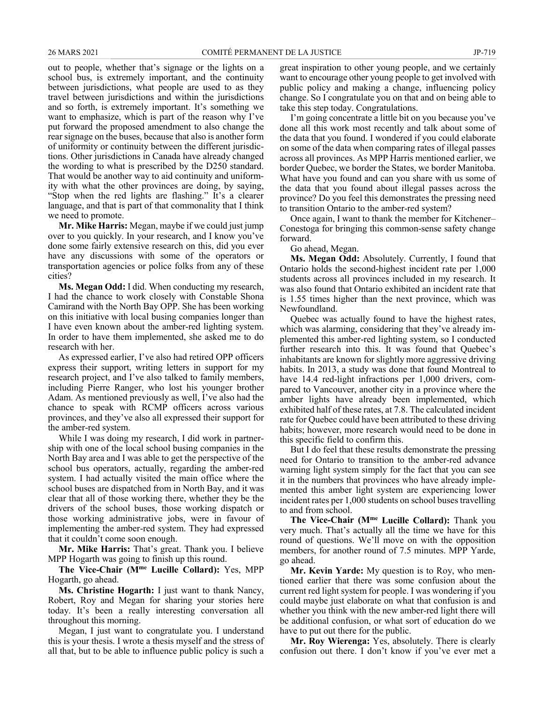out to people, whether that's signage or the lights on a school bus, is extremely important, and the continuity between jurisdictions, what people are used to as they travel between jurisdictions and within the jurisdictions and so forth, is extremely important. It's something we want to emphasize, which is part of the reason why I've put forward the proposed amendment to also change the rear signage on the buses, because that also is another form of uniformity or continuity between the different jurisdictions. Other jurisdictions in Canada have already changed the wording to what is prescribed by the D250 standard. That would be another way to aid continuity and uniformity with what the other provinces are doing, by saying, "Stop when the red lights are flashing." It's a clearer language, and that is part of that commonality that I think we need to promote.

**Mr. Mike Harris:** Megan, maybe if we could just jump over to you quickly. In your research, and I know you've done some fairly extensive research on this, did you ever have any discussions with some of the operators or transportation agencies or police folks from any of these cities?

**Ms. Megan Odd:** I did. When conducting my research, I had the chance to work closely with Constable Shona Camirand with the North Bay OPP. She has been working on this initiative with local busing companies longer than I have even known about the amber-red lighting system. In order to have them implemented, she asked me to do research with her.

As expressed earlier, I've also had retired OPP officers express their support, writing letters in support for my research project, and I've also talked to family members, including Pierre Ranger, who lost his younger brother Adam. As mentioned previously as well, I've also had the chance to speak with RCMP officers across various provinces, and they've also all expressed their support for the amber-red system.

While I was doing my research, I did work in partnership with one of the local school busing companies in the North Bay area and I was able to get the perspective of the school bus operators, actually, regarding the amber-red system. I had actually visited the main office where the school buses are dispatched from in North Bay, and it was clear that all of those working there, whether they be the drivers of the school buses, those working dispatch or those working administrative jobs, were in favour of implementing the amber-red system. They had expressed that it couldn't come soon enough.

**Mr. Mike Harris:** That's great. Thank you. I believe MPP Hogarth was going to finish up this round.

**The Vice-Chair (Mme Lucille Collard):** Yes, MPP Hogarth, go ahead.

**Ms. Christine Hogarth:** I just want to thank Nancy, Robert, Roy and Megan for sharing your stories here today. It's been a really interesting conversation all throughout this morning.

Megan, I just want to congratulate you. I understand this is your thesis. I wrote a thesis myself and the stress of all that, but to be able to influence public policy is such a

great inspiration to other young people, and we certainly want to encourage other young people to get involved with public policy and making a change, influencing policy change. So I congratulate you on that and on being able to take this step today. Congratulations.

I'm going concentrate a little bit on you because you've done all this work most recently and talk about some of the data that you found. I wondered if you could elaborate on some of the data when comparing rates of illegal passes across all provinces. As MPP Harris mentioned earlier, we border Quebec, we border the States, we border Manitoba. What have you found and can you share with us some of the data that you found about illegal passes across the province? Do you feel this demonstrates the pressing need to transition Ontario to the amber-red system?

Once again, I want to thank the member for Kitchener– Conestoga for bringing this common-sense safety change forward.

## Go ahead, Megan.

**Ms. Megan Odd:** Absolutely. Currently, I found that Ontario holds the second-highest incident rate per 1,000 students across all provinces included in my research. It was also found that Ontario exhibited an incident rate that is 1.55 times higher than the next province, which was Newfoundland.

Quebec was actually found to have the highest rates, which was alarming, considering that they've already implemented this amber-red lighting system, so I conducted further research into this. It was found that Quebec's inhabitants are known for slightly more aggressive driving habits. In 2013, a study was done that found Montreal to have 14.4 red-light infractions per 1,000 drivers, compared to Vancouver, another city in a province where the amber lights have already been implemented, which exhibited half of these rates, at 7.8. The calculated incident rate for Quebec could have been attributed to these driving habits; however, more research would need to be done in this specific field to confirm this.

But I do feel that these results demonstrate the pressing need for Ontario to transition to the amber-red advance warning light system simply for the fact that you can see it in the numbers that provinces who have already implemented this amber light system are experiencing lower incident rates per 1,000 students on school buses travelling to and from school.

**The Vice-Chair (Mme Lucille Collard):** Thank you very much. That's actually all the time we have for this round of questions. We'll move on with the opposition members, for another round of 7.5 minutes. MPP Yarde, go ahead.

**Mr. Kevin Yarde:** My question is to Roy, who mentioned earlier that there was some confusion about the current red light system for people. I was wondering if you could maybe just elaborate on what that confusion is and whether you think with the new amber-red light there will be additional confusion, or what sort of education do we have to put out there for the public.

**Mr. Roy Wierenga:** Yes, absolutely. There is clearly confusion out there. I don't know if you've ever met a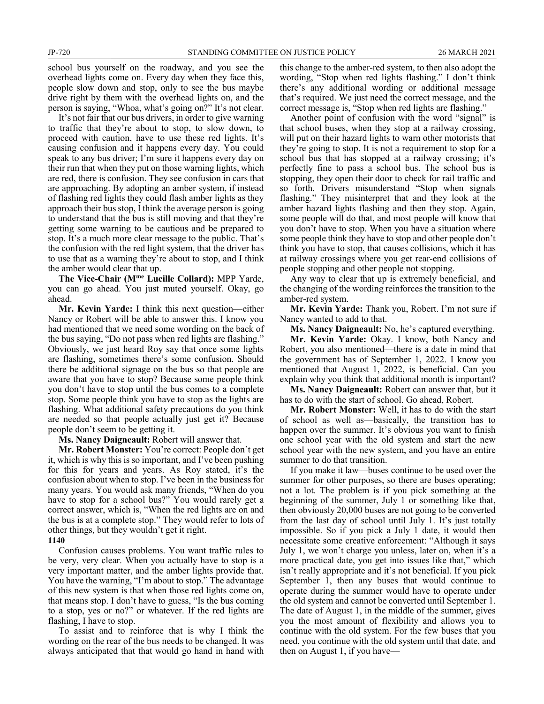school bus yourself on the roadway, and you see the overhead lights come on. Every day when they face this, people slow down and stop, only to see the bus maybe drive right by them with the overhead lights on, and the person is saying, "Whoa, what's going on?" It's not clear.

It's not fair that our bus drivers, in order to give warning to traffic that they're about to stop, to slow down, to proceed with caution, have to use these red lights. It's causing confusion and it happens every day. You could speak to any bus driver; I'm sure it happens every day on their run that when they put on those warning lights, which are red, there is confusion. They see confusion in cars that are approaching. By adopting an amber system, if instead of flashing red lights they could flash amber lights as they approach their bus stop, I think the average person is going to understand that the bus is still moving and that they're getting some warning to be cautious and be prepared to stop. It's a much more clear message to the public. That's the confusion with the red light system, that the driver has to use that as a warning they're about to stop, and I think the amber would clear that up.

**The Vice-Chair (Mme Lucille Collard):** MPP Yarde, you can go ahead. You just muted yourself. Okay, go ahead.

**Mr. Kevin Yarde:** I think this next question—either Nancy or Robert will be able to answer this. I know you had mentioned that we need some wording on the back of the bus saying, "Do not pass when red lights are flashing." Obviously, we just heard Roy say that once some lights are flashing, sometimes there's some confusion. Should there be additional signage on the bus so that people are aware that you have to stop? Because some people think you don't have to stop until the bus comes to a complete stop. Some people think you have to stop as the lights are flashing. What additional safety precautions do you think are needed so that people actually just get it? Because people don't seem to be getting it.

**Ms. Nancy Daigneault:** Robert will answer that.

**Mr. Robert Monster:** You're correct: People don't get it, which is why this is so important, and I've been pushing for this for years and years. As Roy stated, it's the confusion about when to stop. I've been in the business for many years. You would ask many friends, "When do you have to stop for a school bus?" You would rarely get a correct answer, which is, "When the red lights are on and the bus is at a complete stop." They would refer to lots of other things, but they wouldn't get it right.

## **1140**

Confusion causes problems. You want traffic rules to be very, very clear. When you actually have to stop is a very important matter, and the amber lights provide that. You have the warning, "I'm about to stop." The advantage of this new system is that when those red lights come on, that means stop. I don't have to guess, "Is the bus coming to a stop, yes or no?" or whatever. If the red lights are flashing, I have to stop.

To assist and to reinforce that is why I think the wording on the rear of the bus needs to be changed. It was always anticipated that that would go hand in hand with this change to the amber-red system, to then also adopt the wording, "Stop when red lights flashing." I don't think there's any additional wording or additional message that's required. We just need the correct message, and the correct message is, "Stop when red lights are flashing."

Another point of confusion with the word "signal" is that school buses, when they stop at a railway crossing, will put on their hazard lights to warn other motorists that they're going to stop. It is not a requirement to stop for a school bus that has stopped at a railway crossing; it's perfectly fine to pass a school bus. The school bus is stopping, they open their door to check for rail traffic and so forth. Drivers misunderstand "Stop when signals flashing." They misinterpret that and they look at the amber hazard lights flashing and then they stop. Again, some people will do that, and most people will know that you don't have to stop. When you have a situation where some people think they have to stop and other people don't think you have to stop, that causes collisions, which it has at railway crossings where you get rear-end collisions of people stopping and other people not stopping.

Any way to clear that up is extremely beneficial, and the changing of the wording reinforces the transition to the amber-red system.

**Mr. Kevin Yarde:** Thank you, Robert. I'm not sure if Nancy wanted to add to that.

**Ms. Nancy Daigneault:** No, he's captured everything.

**Mr. Kevin Yarde:** Okay. I know, both Nancy and Robert, you also mentioned—there is a date in mind that the government has of September 1, 2022. I know you mentioned that August 1, 2022, is beneficial. Can you explain why you think that additional month is important?

**Ms. Nancy Daigneault:** Robert can answer that, but it has to do with the start of school. Go ahead, Robert.

**Mr. Robert Monster:** Well, it has to do with the start of school as well as—basically, the transition has to happen over the summer. It's obvious you want to finish one school year with the old system and start the new school year with the new system, and you have an entire summer to do that transition.

If you make it law—buses continue to be used over the summer for other purposes, so there are buses operating; not a lot. The problem is if you pick something at the beginning of the summer, July 1 or something like that, then obviously 20,000 buses are not going to be converted from the last day of school until July 1. It's just totally impossible. So if you pick a July 1 date, it would then necessitate some creative enforcement: "Although it says July 1, we won't charge you unless, later on, when it's a more practical date, you get into issues like that," which isn't really appropriate and it's not beneficial. If you pick September 1, then any buses that would continue to operate during the summer would have to operate under the old system and cannot be converted until September 1. The date of August 1, in the middle of the summer, gives you the most amount of flexibility and allows you to continue with the old system. For the few buses that you need, you continue with the old system until that date, and then on August 1, if you have—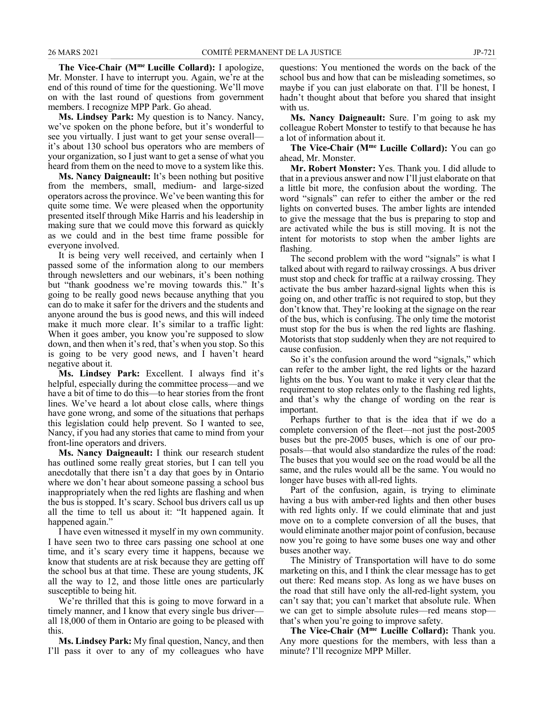**The Vice-Chair (Mme Lucille Collard):** I apologize, Mr. Monster. I have to interrupt you. Again, we're at the end of this round of time for the questioning. We'll move on with the last round of questions from government members. I recognize MPP Park. Go ahead.

**Ms. Lindsey Park:** My question is to Nancy. Nancy, we've spoken on the phone before, but it's wonderful to see you virtually. I just want to get your sense overall it's about 130 school bus operators who are members of your organization, so I just want to get a sense of what you heard from them on the need to move to a system like this.

**Ms. Nancy Daigneault:** It's been nothing but positive from the members, small, medium- and large-sized operators across the province. We've been wanting this for quite some time. We were pleased when the opportunity presented itself through Mike Harris and his leadership in making sure that we could move this forward as quickly as we could and in the best time frame possible for everyone involved.

It is being very well received, and certainly when I passed some of the information along to our members through newsletters and our webinars, it's been nothing but "thank goodness we're moving towards this." It's going to be really good news because anything that you can do to make it safer for the drivers and the students and anyone around the bus is good news, and this will indeed make it much more clear. It's similar to a traffic light: When it goes amber, you know you're supposed to slow down, and then when it's red, that's when you stop. So this is going to be very good news, and I haven't heard negative about it.

**Ms. Lindsey Park:** Excellent. I always find it's helpful, especially during the committee process—and we have a bit of time to do this—to hear stories from the front lines. We've heard a lot about close calls, where things have gone wrong, and some of the situations that perhaps this legislation could help prevent. So I wanted to see, Nancy, if you had any stories that came to mind from your front-line operators and drivers.

**Ms. Nancy Daigneault:** I think our research student has outlined some really great stories, but I can tell you anecdotally that there isn't a day that goes by in Ontario where we don't hear about someone passing a school bus inappropriately when the red lights are flashing and when the bus is stopped. It's scary. School bus drivers call us up all the time to tell us about it: "It happened again. It happened again."

I have even witnessed it myself in my own community. I have seen two to three cars passing one school at one time, and it's scary every time it happens, because we know that students are at risk because they are getting off the school bus at that time. These are young students, JK all the way to 12, and those little ones are particularly susceptible to being hit.

We're thrilled that this is going to move forward in a timely manner, and I know that every single bus driver all 18,000 of them in Ontario are going to be pleased with this.

**Ms. Lindsey Park:** My final question, Nancy, and then I'll pass it over to any of my colleagues who have questions: You mentioned the words on the back of the school bus and how that can be misleading sometimes, so maybe if you can just elaborate on that. I'll be honest, I hadn't thought about that before you shared that insight with us.

**Ms. Nancy Daigneault:** Sure. I'm going to ask my colleague Robert Monster to testify to that because he has a lot of information about it.

**The Vice-Chair (Mme Lucille Collard):** You can go ahead, Mr. Monster.

**Mr. Robert Monster:** Yes. Thank you. I did allude to that in a previous answer and now I'll just elaborate on that a little bit more, the confusion about the wording. The word "signals" can refer to either the amber or the red lights on converted buses. The amber lights are intended to give the message that the bus is preparing to stop and are activated while the bus is still moving. It is not the intent for motorists to stop when the amber lights are flashing.

The second problem with the word "signals" is what I talked about with regard to railway crossings. A bus driver must stop and check for traffic at a railway crossing. They activate the bus amber hazard-signal lights when this is going on, and other traffic is not required to stop, but they don't know that. They're looking at the signage on the rear of the bus, which is confusing. The only time the motorist must stop for the bus is when the red lights are flashing. Motorists that stop suddenly when they are not required to cause confusion.

So it's the confusion around the word "signals," which can refer to the amber light, the red lights or the hazard lights on the bus. You want to make it very clear that the requirement to stop relates only to the flashing red lights, and that's why the change of wording on the rear is important.

Perhaps further to that is the idea that if we do a complete conversion of the fleet—not just the post-2005 buses but the pre-2005 buses, which is one of our proposals—that would also standardize the rules of the road: The buses that you would see on the road would be all the same, and the rules would all be the same. You would no longer have buses with all-red lights.

Part of the confusion, again, is trying to eliminate having a bus with amber-red lights and then other buses with red lights only. If we could eliminate that and just move on to a complete conversion of all the buses, that would eliminate another major point of confusion, because now you're going to have some buses one way and other buses another way.

The Ministry of Transportation will have to do some marketing on this, and I think the clear message has to get out there: Red means stop. As long as we have buses on the road that still have only the all-red-light system, you can't say that; you can't market that absolute rule. When we can get to simple absolute rules—red means stop that's when you're going to improve safety.

**The Vice-Chair (Mme Lucille Collard):** Thank you. Any more questions for the members, with less than a minute? I'll recognize MPP Miller.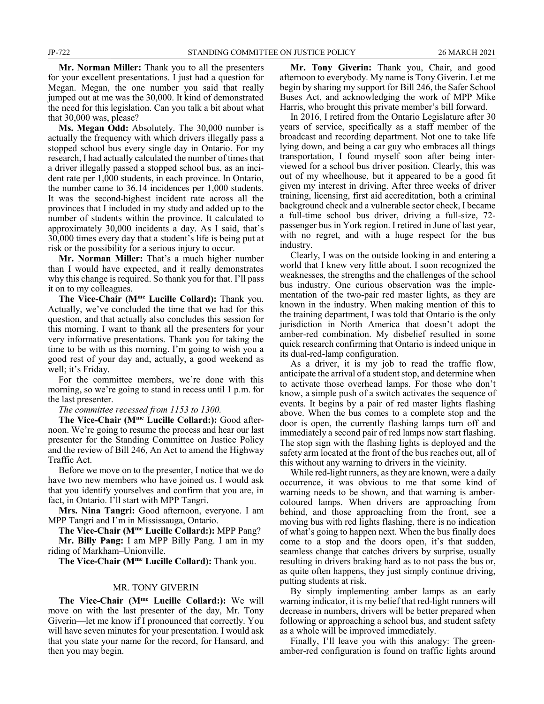**Mr. Norman Miller:** Thank you to all the presenters for your excellent presentations. I just had a question for Megan. Megan, the one number you said that really jumped out at me was the 30,000. It kind of demonstrated the need for this legislation. Can you talk a bit about what that 30,000 was, please?

**Ms. Megan Odd:** Absolutely. The 30,000 number is actually the frequency with which drivers illegally pass a stopped school bus every single day in Ontario. For my research, I had actually calculated the number of times that a driver illegally passed a stopped school bus, as an incident rate per 1,000 students, in each province. In Ontario, the number came to 36.14 incidences per 1,000 students. It was the second-highest incident rate across all the provinces that I included in my study and added up to the number of students within the province. It calculated to approximately 30,000 incidents a day. As I said, that's 30,000 times every day that a student's life is being put at risk or the possibility for a serious injury to occur.

**Mr. Norman Miller:** That's a much higher number than I would have expected, and it really demonstrates why this change is required. So thank you for that. I'll pass it on to my colleagues.

**The Vice-Chair (Mme Lucille Collard):** Thank you. Actually, we've concluded the time that we had for this question, and that actually also concludes this session for this morning. I want to thank all the presenters for your very informative presentations. Thank you for taking the time to be with us this morning. I'm going to wish you a good rest of your day and, actually, a good weekend as well; it's Friday.

For the committee members, we're done with this morning, so we're going to stand in recess until 1 p.m. for the last presenter.

*The committee recessed from 1153 to 1300.*

**The Vice-Chair (Mme Lucille Collard:):** Good afternoon. We're going to resume the process and hear our last presenter for the Standing Committee on Justice Policy and the review of Bill 246, An Act to amend the Highway Traffic Act.

Before we move on to the presenter, I notice that we do have two new members who have joined us. I would ask that you identify yourselves and confirm that you are, in fact, in Ontario. I'll start with MPP Tangri.

**Mrs. Nina Tangri:** Good afternoon, everyone. I am MPP Tangri and I'm in Mississauga, Ontario.

**The Vice-Chair (Mme Lucille Collard:):** MPP Pang?

**Mr. Billy Pang:** I am MPP Billy Pang. I am in my riding of Markham–Unionville.

**The Vice-Chair (Mme Lucille Collard):** Thank you.

## MR. TONY GIVERIN

**The Vice-Chair (Mme Lucille Collard:):** We will move on with the last presenter of the day, Mr. Tony Giverin—let me know if I pronounced that correctly. You will have seven minutes for your presentation. I would ask that you state your name for the record, for Hansard, and then you may begin.

**Mr. Tony Giverin:** Thank you, Chair, and good afternoon to everybody. My name is Tony Giverin. Let me begin by sharing my support for Bill 246, the Safer School Buses Act, and acknowledging the work of MPP Mike Harris, who brought this private member's bill forward.

In 2016, I retired from the Ontario Legislature after 30 years of service, specifically as a staff member of the broadcast and recording department. Not one to take life lying down, and being a car guy who embraces all things transportation, I found myself soon after being interviewed for a school bus driver position. Clearly, this was out of my wheelhouse, but it appeared to be a good fit given my interest in driving. After three weeks of driver training, licensing, first aid accreditation, both a criminal background check and a vulnerable sector check, I became a full-time school bus driver, driving a full-size, 72 passenger bus in York region. I retired in June of last year, with no regret, and with a huge respect for the bus industry.

Clearly, I was on the outside looking in and entering a world that I knew very little about. I soon recognized the weaknesses, the strengths and the challenges of the school bus industry. One curious observation was the implementation of the two-pair red master lights, as they are known in the industry. When making mention of this to the training department, I was told that Ontario is the only jurisdiction in North America that doesn't adopt the amber-red combination. My disbelief resulted in some quick research confirming that Ontario is indeed unique in its dual-red-lamp configuration.

As a driver, it is my job to read the traffic flow, anticipate the arrival of a student stop, and determine when to activate those overhead lamps. For those who don't know, a simple push of a switch activates the sequence of events. It begins by a pair of red master lights flashing above. When the bus comes to a complete stop and the door is open, the currently flashing lamps turn off and immediately a second pair of red lamps now start flashing. The stop sign with the flashing lights is deployed and the safety arm located at the front of the bus reaches out, all of this without any warning to drivers in the vicinity.

While red-light runners, as they are known, were a daily occurrence, it was obvious to me that some kind of warning needs to be shown, and that warning is ambercoloured lamps. When drivers are approaching from behind, and those approaching from the front, see a moving bus with red lights flashing, there is no indication of what's going to happen next. When the bus finally does come to a stop and the doors open, it's that sudden, seamless change that catches drivers by surprise, usually resulting in drivers braking hard as to not pass the bus or, as quite often happens, they just simply continue driving, putting students at risk.

By simply implementing amber lamps as an early warning indicator, it is my belief that red-light runners will decrease in numbers, drivers will be better prepared when following or approaching a school bus, and student safety as a whole will be improved immediately.

Finally, I'll leave you with this analogy: The greenamber-red configuration is found on traffic lights around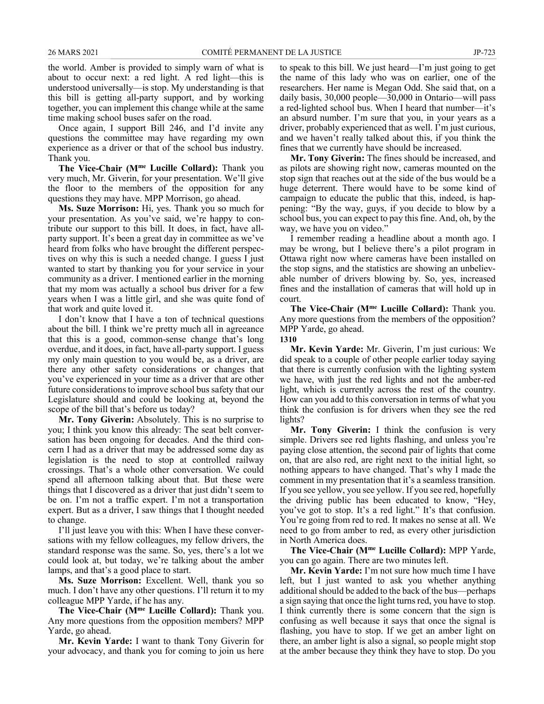the world. Amber is provided to simply warn of what is about to occur next: a red light. A red light—this is understood universally—is stop. My understanding is that this bill is getting all-party support, and by working together, you can implement this change while at the same time making school buses safer on the road.

Once again, I support Bill 246, and I'd invite any questions the committee may have regarding my own experience as a driver or that of the school bus industry. Thank you.

**The Vice-Chair (Mme Lucille Collard):** Thank you very much, Mr. Giverin, for your presentation. We'll give the floor to the members of the opposition for any questions they may have. MPP Morrison, go ahead.

**Ms. Suze Morrison:** Hi, yes. Thank you so much for your presentation. As you've said, we're happy to contribute our support to this bill. It does, in fact, have allparty support. It's been a great day in committee as we've heard from folks who have brought the different perspectives on why this is such a needed change. I guess I just wanted to start by thanking you for your service in your community as a driver. I mentioned earlier in the morning that my mom was actually a school bus driver for a few years when I was a little girl, and she was quite fond of that work and quite loved it.

I don't know that I have a ton of technical questions about the bill. I think we're pretty much all in agreeance that this is a good, common-sense change that's long overdue, and it does, in fact, have all-party support. I guess my only main question to you would be, as a driver, are there any other safety considerations or changes that you've experienced in your time as a driver that are other future considerations to improve school bus safety that our Legislature should and could be looking at, beyond the scope of the bill that's before us today?

**Mr. Tony Giverin:** Absolutely. This is no surprise to you; I think you know this already: The seat belt conversation has been ongoing for decades. And the third concern I had as a driver that may be addressed some day as legislation is the need to stop at controlled railway crossings. That's a whole other conversation. We could spend all afternoon talking about that. But these were things that I discovered as a driver that just didn't seem to be on. I'm not a traffic expert. I'm not a transportation expert. But as a driver, I saw things that I thought needed to change.

I'll just leave you with this: When I have these conversations with my fellow colleagues, my fellow drivers, the standard response was the same. So, yes, there's a lot we could look at, but today, we're talking about the amber lamps, and that's a good place to start.

**Ms. Suze Morrison:** Excellent. Well, thank you so much. I don't have any other questions. I'll return it to my colleague MPP Yarde, if he has any.

**The Vice-Chair (Mme Lucille Collard):** Thank you. Any more questions from the opposition members? MPP Yarde, go ahead.

**Mr. Kevin Yarde:** I want to thank Tony Giverin for your advocacy, and thank you for coming to join us here to speak to this bill. We just heard—I'm just going to get the name of this lady who was on earlier, one of the researchers. Her name is Megan Odd. She said that, on a daily basis, 30,000 people—30,000 in Ontario—will pass a red-lighted school bus. When I heard that number—it's an absurd number. I'm sure that you, in your years as a driver, probably experienced that as well. I'm just curious, and we haven't really talked about this, if you think the fines that we currently have should be increased.

**Mr. Tony Giverin:** The fines should be increased, and as pilots are showing right now, cameras mounted on the stop sign that reaches out at the side of the bus would be a huge deterrent. There would have to be some kind of campaign to educate the public that this, indeed, is happening: "By the way, guys, if you decide to blow by a school bus, you can expect to pay this fine. And, oh, by the way, we have you on video."

I remember reading a headline about a month ago. I may be wrong, but I believe there's a pilot program in Ottawa right now where cameras have been installed on the stop signs, and the statistics are showing an unbelievable number of drivers blowing by. So, yes, increased fines and the installation of cameras that will hold up in court.

**The Vice-Chair (Mme Lucille Collard):** Thank you. Any more questions from the members of the opposition? MPP Yarde, go ahead.

**1310**

**Mr. Kevin Yarde:** Mr. Giverin, I'm just curious: We did speak to a couple of other people earlier today saying that there is currently confusion with the lighting system we have, with just the red lights and not the amber-red light, which is currently across the rest of the country. How can you add to this conversation in terms of what you think the confusion is for drivers when they see the red lights?

**Mr. Tony Giverin:** I think the confusion is very simple. Drivers see red lights flashing, and unless you're paying close attention, the second pair of lights that come on, that are also red, are right next to the initial light, so nothing appears to have changed. That's why I made the comment in my presentation that it's a seamless transition. If you see yellow, you see yellow. If you see red, hopefully the driving public has been educated to know, "Hey, you've got to stop. It's a red light." It's that confusion. You're going from red to red. It makes no sense at all. We need to go from amber to red, as every other jurisdiction in North America does.

**The Vice-Chair (Mme Lucille Collard):** MPP Yarde, you can go again. There are two minutes left.

**Mr. Kevin Yarde:** I'm not sure how much time I have left, but I just wanted to ask you whether anything additional should be added to the back of the bus—perhaps a sign saying that once the light turns red, you have to stop. I think currently there is some concern that the sign is confusing as well because it says that once the signal is flashing, you have to stop. If we get an amber light on there, an amber light is also a signal, so people might stop at the amber because they think they have to stop. Do you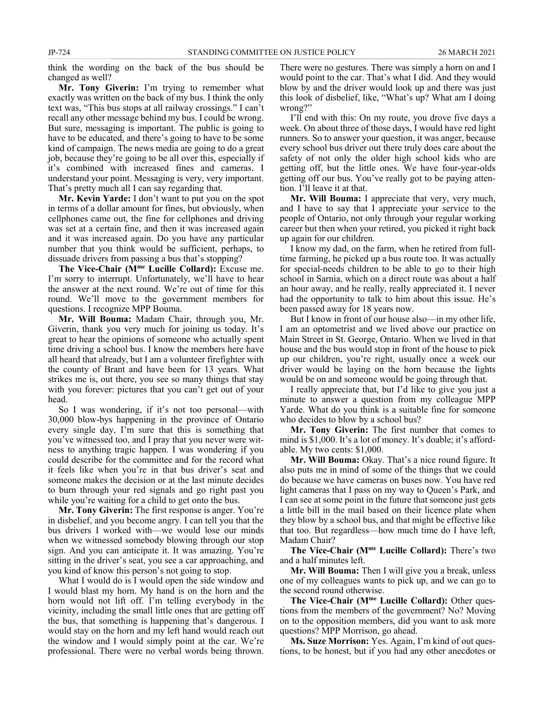think the wording on the back of the bus should be changed as well?

**Mr. Tony Giverin:** I'm trying to remember what exactly was written on the back of my bus. I think the only text was, "This bus stops at all railway crossings." I can't recall any other message behind my bus. I could be wrong. But sure, messaging is important. The public is going to have to be educated, and there's going to have to be some kind of campaign. The news media are going to do a great job, because they're going to be all over this, especially if it's combined with increased fines and cameras. I understand your point. Messaging is very, very important. That's pretty much all I can say regarding that.

**Mr. Kevin Yarde:** I don't want to put you on the spot in terms of a dollar amount for fines, but obviously, when cellphones came out, the fine for cellphones and driving was set at a certain fine, and then it was increased again and it was increased again. Do you have any particular number that you think would be sufficient, perhaps, to dissuade drivers from passing a bus that's stopping?

**The Vice-Chair (Mme Lucille Collard):** Excuse me. I'm sorry to interrupt. Unfortunately, we'll have to hear the answer at the next round. We're out of time for this round. We'll move to the government members for questions. I recognize MPP Bouma.

**Mr. Will Bouma:** Madam Chair, through you, Mr. Giverin, thank you very much for joining us today. It's great to hear the opinions of someone who actually spent time driving a school bus. I know the members here have all heard that already, but I am a volunteer firefighter with the county of Brant and have been for 13 years. What strikes me is, out there, you see so many things that stay with you forever: pictures that you can't get out of your head.

So I was wondering, if it's not too personal—with 30,000 blow-bys happening in the province of Ontario every single day, I'm sure that this is something that you've witnessed too, and I pray that you never were witness to anything tragic happen. I was wondering if you could describe for the committee and for the record what it feels like when you're in that bus driver's seat and someone makes the decision or at the last minute decides to burn through your red signals and go right past you while you're waiting for a child to get onto the bus.

**Mr. Tony Giverin:** The first response is anger. You're in disbelief, and you become angry. I can tell you that the bus drivers I worked with—we would lose our minds when we witnessed somebody blowing through our stop sign. And you can anticipate it. It was amazing. You're sitting in the driver's seat, you see a car approaching, and you kind of know this person's not going to stop.

What I would do is I would open the side window and I would blast my horn. My hand is on the horn and the horn would not lift off. I'm telling everybody in the vicinity, including the small little ones that are getting off the bus, that something is happening that's dangerous. I would stay on the horn and my left hand would reach out the window and I would simply point at the car. We're professional. There were no verbal words being thrown.

There were no gestures. There was simply a horn on and I would point to the car. That's what I did. And they would blow by and the driver would look up and there was just this look of disbelief, like, "What's up? What am I doing wrong?"

I'll end with this: On my route, you drove five days a week. On about three of those days, I would have red light runners. So to answer your question, it was anger, because every school bus driver out there truly does care about the safety of not only the older high school kids who are getting off, but the little ones. We have four-year-olds getting off our bus. You've really got to be paying attention. I'll leave it at that.

**Mr. Will Bouma:** I appreciate that very, very much, and I have to say that I appreciate your service to the people of Ontario, not only through your regular working career but then when your retired, you picked it right back up again for our children.

I know my dad, on the farm, when he retired from fulltime farming, he picked up a bus route too. It was actually for special-needs children to be able to go to their high school in Sarnia, which on a direct route was about a half an hour away, and he really, really appreciated it. I never had the opportunity to talk to him about this issue. He's been passed away for 18 years now.

But I know in front of our house also—in my other life, I am an optometrist and we lived above our practice on Main Street in St. George, Ontario. When we lived in that house and the bus would stop in front of the house to pick up our children, you're right, usually once a week our driver would be laying on the horn because the lights would be on and someone would be going through that.

I really appreciate that, but I'd like to give you just a minute to answer a question from my colleague MPP Yarde. What do you think is a suitable fine for someone who decides to blow by a school bus?

**Mr. Tony Giverin:** The first number that comes to mind is \$1,000. It's a lot of money. It's doable; it's affordable. My two cents: \$1,000.

**Mr. Will Bouma:** Okay. That's a nice round figure. It also puts me in mind of some of the things that we could do because we have cameras on buses now. You have red light cameras that I pass on my way to Queen's Park, and I can see at some point in the future that someone just gets a little bill in the mail based on their licence plate when they blow by a school bus, and that might be effective like that too. But regardless—how much time do I have left, Madam Chair?

**The Vice-Chair (Mme Lucille Collard):** There's two and a half minutes left.

**Mr. Will Bouma:** Then I will give you a break, unless one of my colleagues wants to pick up, and we can go to the second round otherwise.

**The Vice-Chair (Mme Lucille Collard):** Other questions from the members of the government? No? Moving on to the opposition members, did you want to ask more questions? MPP Morrison, go ahead.

**Ms. Suze Morrison:** Yes. Again, I'm kind of out questions, to be honest, but if you had any other anecdotes or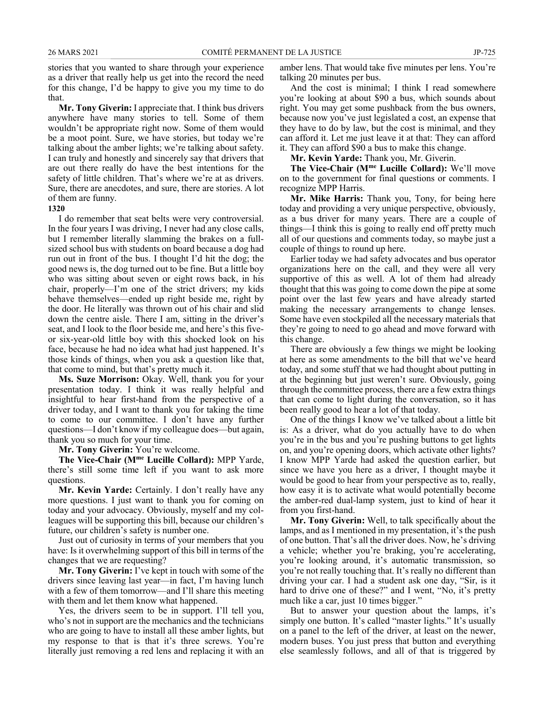stories that you wanted to share through your experience as a driver that really help us get into the record the need for this change, I'd be happy to give you my time to do that.

**Mr. Tony Giverin:** I appreciate that. I think bus drivers anywhere have many stories to tell. Some of them wouldn't be appropriate right now. Some of them would be a moot point. Sure, we have stories, but today we're talking about the amber lights; we're talking about safety. I can truly and honestly and sincerely say that drivers that are out there really do have the best intentions for the safety of little children. That's where we're at as drivers. Sure, there are anecdotes, and sure, there are stories. A lot of them are funny.

#### **1320**

I do remember that seat belts were very controversial. In the four years I was driving, I never had any close calls, but I remember literally slamming the brakes on a fullsized school bus with students on board because a dog had run out in front of the bus. I thought I'd hit the dog; the good news is, the dog turned out to be fine. But a little boy who was sitting about seven or eight rows back, in his chair, properly—I'm one of the strict drivers; my kids behave themselves—ended up right beside me, right by the door. He literally was thrown out of his chair and slid down the centre aisle. There I am, sitting in the driver's seat, and I look to the floor beside me, and here's this fiveor six-year-old little boy with this shocked look on his face, because he had no idea what had just happened. It's those kinds of things, when you ask a question like that, that come to mind, but that's pretty much it.

**Ms. Suze Morrison:** Okay. Well, thank you for your presentation today. I think it was really helpful and insightful to hear first-hand from the perspective of a driver today, and I want to thank you for taking the time to come to our committee. I don't have any further questions—I don't know if my colleague does—but again, thank you so much for your time.

**Mr. Tony Giverin:** You're welcome.

**The Vice-Chair (Mme Lucille Collard):** MPP Yarde, there's still some time left if you want to ask more questions.

**Mr. Kevin Yarde:** Certainly. I don't really have any more questions. I just want to thank you for coming on today and your advocacy. Obviously, myself and my colleagues will be supporting this bill, because our children's future, our children's safety is number one.

Just out of curiosity in terms of your members that you have: Is it overwhelming support of this bill in terms of the changes that we are requesting?

**Mr. Tony Giverin:** I've kept in touch with some of the drivers since leaving last year—in fact, I'm having lunch with a few of them tomorrow—and I'll share this meeting with them and let them know what happened.

Yes, the drivers seem to be in support. I'll tell you, who's not in support are the mechanics and the technicians who are going to have to install all these amber lights, but my response to that is that it's three screws. You're literally just removing a red lens and replacing it with an amber lens. That would take five minutes per lens. You're talking 20 minutes per bus.

And the cost is minimal; I think I read somewhere you're looking at about \$90 a bus, which sounds about right. You may get some pushback from the bus owners, because now you've just legislated a cost, an expense that they have to do by law, but the cost is minimal, and they can afford it. Let me just leave it at that: They can afford it. They can afford \$90 a bus to make this change.

**Mr. Kevin Yarde:** Thank you, Mr. Giverin.

**The Vice-Chair (Mme Lucille Collard):** We'll move on to the government for final questions or comments. I recognize MPP Harris.

**Mr. Mike Harris:** Thank you, Tony, for being here today and providing a very unique perspective, obviously, as a bus driver for many years. There are a couple of things—I think this is going to really end off pretty much all of our questions and comments today, so maybe just a couple of things to round up here.

Earlier today we had safety advocates and bus operator organizations here on the call, and they were all very supportive of this as well. A lot of them had already thought that this was going to come down the pipe at some point over the last few years and have already started making the necessary arrangements to change lenses. Some have even stockpiled all the necessary materials that they're going to need to go ahead and move forward with this change.

There are obviously a few things we might be looking at here as some amendments to the bill that we've heard today, and some stuff that we had thought about putting in at the beginning but just weren't sure. Obviously, going through the committee process, there are a few extra things that can come to light during the conversation, so it has been really good to hear a lot of that today.

One of the things I know we've talked about a little bit is: As a driver, what do you actually have to do when you're in the bus and you're pushing buttons to get lights on, and you're opening doors, which activate other lights? I know MPP Yarde had asked the question earlier, but since we have you here as a driver, I thought maybe it would be good to hear from your perspective as to, really, how easy it is to activate what would potentially become the amber-red dual-lamp system, just to kind of hear it from you first-hand.

**Mr. Tony Giverin:** Well, to talk specifically about the lamps, and as I mentioned in my presentation, it's the push of one button. That's all the driver does. Now, he's driving a vehicle; whether you're braking, you're accelerating, you're looking around, it's automatic transmission, so you're not really touching that. It's really no different than driving your car. I had a student ask one day, "Sir, is it hard to drive one of these?" and I went, "No, it's pretty much like a car, just 10 times bigger."

But to answer your question about the lamps, it's simply one button. It's called "master lights." It's usually on a panel to the left of the driver, at least on the newer, modern buses. You just press that button and everything else seamlessly follows, and all of that is triggered by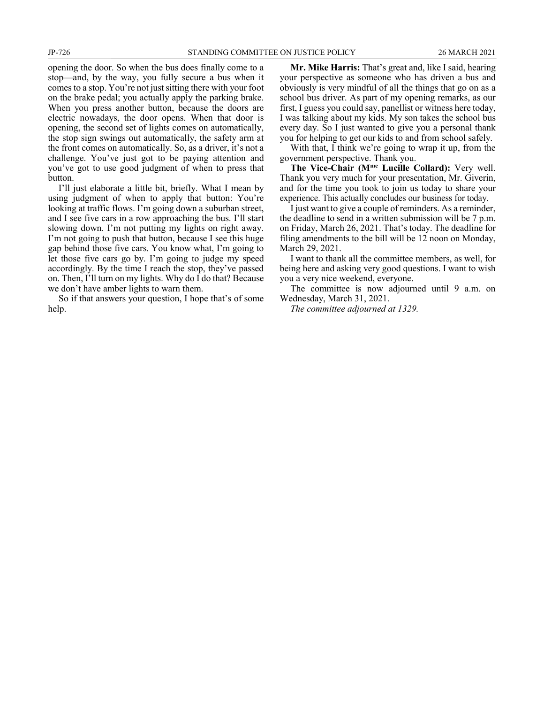opening the door. So when the bus does finally come to a stop—and, by the way, you fully secure a bus when it comes to a stop. You're not just sitting there with your foot on the brake pedal; you actually apply the parking brake. When you press another button, because the doors are electric nowadays, the door opens. When that door is opening, the second set of lights comes on automatically, the stop sign swings out automatically, the safety arm at the front comes on automatically. So, as a driver, it's not a challenge. You've just got to be paying attention and you've got to use good judgment of when to press that button.

I'll just elaborate a little bit, briefly. What I mean by using judgment of when to apply that button: You're looking at traffic flows. I'm going down a suburban street, and I see five cars in a row approaching the bus. I'll start slowing down. I'm not putting my lights on right away. I'm not going to push that button, because I see this huge gap behind those five cars. You know what, I'm going to let those five cars go by. I'm going to judge my speed accordingly. By the time I reach the stop, they've passed on. Then, I'll turn on my lights. Why do I do that? Because we don't have amber lights to warn them.

So if that answers your question, I hope that's of some help.

**Mr. Mike Harris:** That's great and, like I said, hearing your perspective as someone who has driven a bus and obviously is very mindful of all the things that go on as a school bus driver. As part of my opening remarks, as our first, I guess you could say, panellist or witness here today, I was talking about my kids. My son takes the school bus every day. So I just wanted to give you a personal thank you for helping to get our kids to and from school safely.

With that, I think we're going to wrap it up, from the government perspective. Thank you.

**The Vice-Chair (Mme Lucille Collard):** Very well. Thank you very much for your presentation, Mr. Giverin, and for the time you took to join us today to share your experience. This actually concludes our business for today.

I just want to give a couple of reminders. As a reminder, the deadline to send in a written submission will be 7 p.m. on Friday, March 26, 2021. That's today. The deadline for filing amendments to the bill will be 12 noon on Monday, March 29, 2021.

I want to thank all the committee members, as well, for being here and asking very good questions. I want to wish you a very nice weekend, everyone.

The committee is now adjourned until 9 a.m. on Wednesday, March 31, 2021.

*The committee adjourned at 1329.*